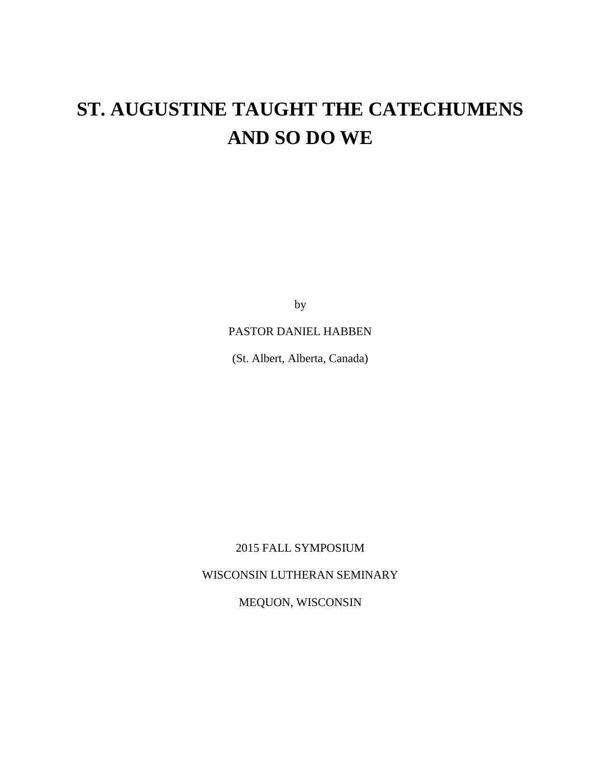# **ST. AUGUSTINE TAUGHT THE CATECHUMENS AND SO DO WE**

by

## PASTOR DANIEL HABBEN

(St. Albert, Alberta, Canada)

2015 FALL SYMPOSIUM

WISCONSIN LUTHERAN SEMINARY

MEQUON, WISCONSIN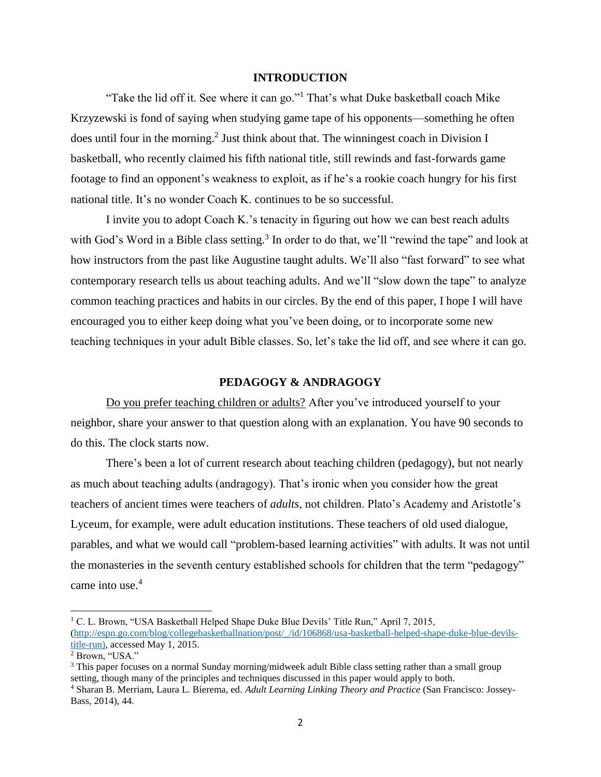#### **INTRODUCTION**

"Take the lid off it. See where it can go."<sup>1</sup> That's what Duke basketball coach Mike Krzyzewski is fond of saying when studying game tape of his opponents—something he often does until four in the morning.<sup>2</sup> Just think about that. The winningest coach in Division I basketball, who recently claimed his fifth national title, still rewinds and fast-forwards game footage to find an opponent's weakness to exploit, as if he's a rookie coach hungry for his first national title. It's no wonder Coach K. continues to be so successful.

I invite you to adopt Coach K.'s tenacity in figuring out how we can best reach adults with God's Word in a Bible class setting.<sup>3</sup> In order to do that, we'll "rewind the tape" and look at how instructors from the past like Augustine taught adults. We'll also "fast forward" to see what contemporary research tells us about teaching adults. And we'll "slow down the tape" to analyze common teaching practices and habits in our circles. By the end of this paper, I hope I will have encouraged you to either keep doing what you've been doing, or to incorporate some new teaching techniques in your adult Bible classes. So, let's take the lid off, and see where it can go.

#### **PEDAGOGY & ANDRAGOGY**

Do you prefer teaching children or adults? After you've introduced yourself to your neighbor, share your answer to that question along with an explanation. You have 90 seconds to do this. The clock starts now.

There's been a lot of current research about teaching children (pedagogy), but not nearly as much about teaching adults (andragogy). That's ironic when you consider how the great teachers of ancient times were teachers of *adults*, not children. Plato's Academy and Aristotle's Lyceum, for example, were adult education institutions. These teachers of old used dialogue, parables, and what we would call "problem-based learning activities" with adults. It was not until the monasteries in the seventh century established schools for children that the term "pedagogy" came into use.<sup>4</sup>

 $\overline{a}$ <sup>1</sup> C. L. Brown, "USA Basketball Helped Shape Duke Blue Devils' Title Run," April 7, 2015, [\(http://espn.go.com/blog/collegebasketballnation/post/\\_/id/106868/usa-basketball-helped-shape-duke-blue-devils](http://espn.go.com/blog/collegebasketballnation/post/_/id/106868/usa-basketball-helped-shape-duke-blue-devils-title-run)[title-run\)](http://espn.go.com/blog/collegebasketballnation/post/_/id/106868/usa-basketball-helped-shape-duke-blue-devils-title-run), accessed May 1, 2015.

<sup>2</sup> Brown, "USA."

 $3$  This paper focuses on a normal Sunday morning/midweek adult Bible class setting rather than a small group setting, though many of the principles and techniques discussed in this paper would apply to both.

<sup>4</sup> Sharan B. Merriam, Laura L. Bierema, ed. *Adult Learning Linking Theory and Practice* (San Francisco: Jossey-Bass, 2014), 44.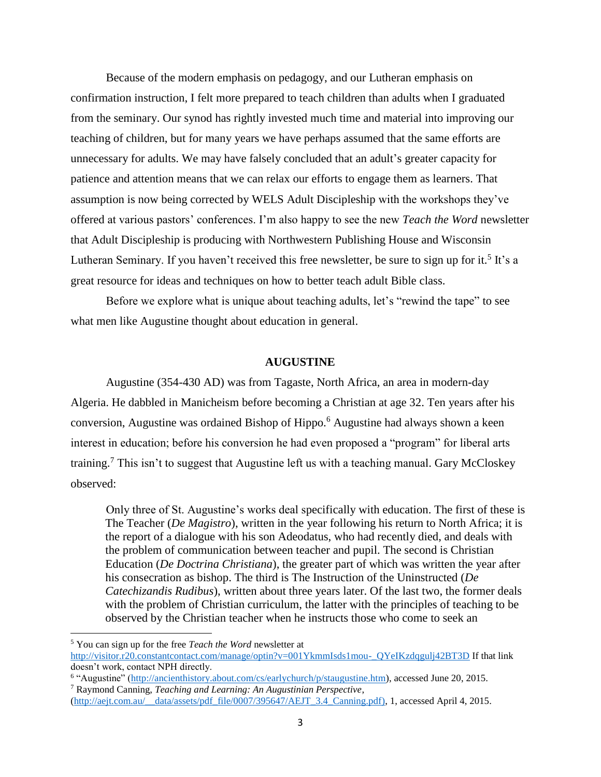Because of the modern emphasis on pedagogy, and our Lutheran emphasis on confirmation instruction, I felt more prepared to teach children than adults when I graduated from the seminary. Our synod has rightly invested much time and material into improving our teaching of children, but for many years we have perhaps assumed that the same efforts are unnecessary for adults. We may have falsely concluded that an adult's greater capacity for patience and attention means that we can relax our efforts to engage them as learners. That assumption is now being corrected by WELS Adult Discipleship with the workshops they've offered at various pastors' conferences. I'm also happy to see the new *Teach the Word* newsletter that Adult Discipleship is producing with Northwestern Publishing House and Wisconsin Lutheran Seminary. If you haven't received this free newsletter, be sure to sign up for it.<sup>5</sup> It's a great resource for ideas and techniques on how to better teach adult Bible class.

Before we explore what is unique about teaching adults, let's "rewind the tape" to see what men like Augustine thought about education in general.

#### **AUGUSTINE**

Augustine (354-430 AD) was from Tagaste, North Africa, an area in modern-day Algeria. He dabbled in Manicheism before becoming a Christian at age 32. Ten years after his conversion, Augustine was ordained Bishop of Hippo.<sup>6</sup> Augustine had always shown a keen interest in education; before his conversion he had even proposed a "program" for liberal arts training.<sup>7</sup> This isn't to suggest that Augustine left us with a teaching manual. Gary McCloskey observed:

Only three of St. Augustine's works deal specifically with education. The first of these is The Teacher (*De Magistro*), written in the year following his return to North Africa; it is the report of a dialogue with his son Adeodatus, who had recently died, and deals with the problem of communication between teacher and pupil. The second is Christian Education (*De Doctrina Christiana*), the greater part of which was written the year after his consecration as bishop. The third is The Instruction of the Uninstructed (*De Catechizandis Rudibus*), written about three years later. Of the last two, the former deals with the problem of Christian curriculum, the latter with the principles of teaching to be observed by the Christian teacher when he instructs those who come to seek an

l

<sup>5</sup> You can sign up for the free *Teach the Word* newsletter at [http://visitor.r20.constantcontact.com/manage/optin?v=001YkmmIsds1mou-\\_QYeIKzdqgulj42BT3D](http://visitor.r20.constantcontact.com/manage/optin?v=001YkmmIsds1mou-_QYeIKzdqgulj42BT3D) If that link doesn't work, contact NPH directly.

<sup>&</sup>lt;sup>6</sup> "Augustine" [\(http://ancienthistory.about.com/cs/earlychurch/p/staugustine.htm\)](http://ancienthistory.about.com/cs/earlychurch/p/staugustine.htm), accessed June 20, 2015. <sup>7</sup> Raymond Canning, *Teaching and Learning: An Augustinian Perspective*,

[<sup>\(</sup>http://aejt.com.au/\\_\\_data/assets/pdf\\_file/0007/395647/AEJT\\_3.4\\_Canning.pdf\)](http://aejt.com.au/__data/assets/pdf_file/0007/395647/AEJT_3.4_Canning.pdf), 1, accessed April 4, 2015.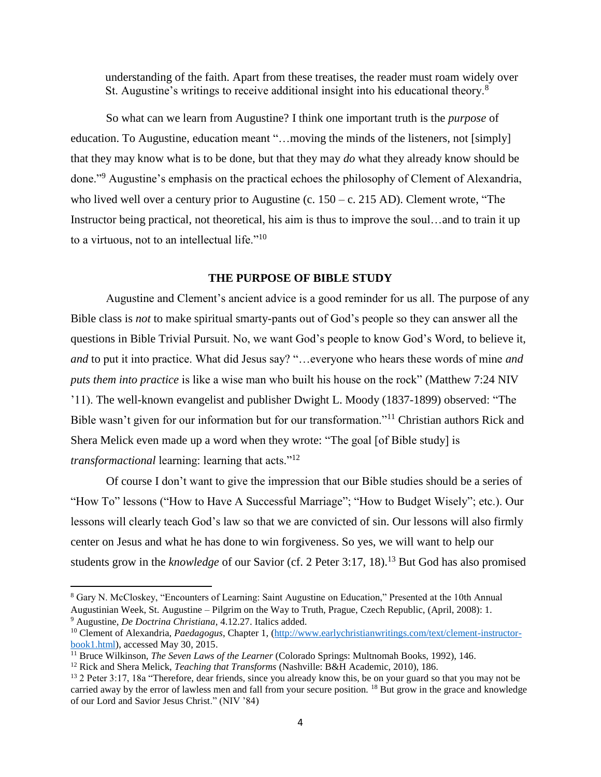understanding of the faith. Apart from these treatises, the reader must roam widely over St. Augustine's writings to receive additional insight into his educational theory.<sup>8</sup>

So what can we learn from Augustine? I think one important truth is the *purpose* of education. To Augustine, education meant "…moving the minds of the listeners, not [simply] that they may know what is to be done, but that they may *do* what they already know should be done."<sup>9</sup> Augustine's emphasis on the practical echoes the philosophy of Clement of Alexandria, who lived well over a century prior to Augustine (c.  $150 - c$ . 215 AD). Clement wrote, "The Instructor being practical, not theoretical, his aim is thus to improve the soul…and to train it up to a virtuous, not to an intellectual life."<sup>10</sup>

#### **THE PURPOSE OF BIBLE STUDY**

Augustine and Clement's ancient advice is a good reminder for us all. The purpose of any Bible class is *not* to make spiritual smarty-pants out of God's people so they can answer all the questions in Bible Trivial Pursuit. No, we want God's people to know God's Word, to believe it, *and* to put it into practice. What did Jesus say? "…everyone who hears these words of mine *and puts them into practice* is like a wise man who built his house on the rock" (Matthew 7:24 NIV '11). The well-known evangelist and publisher Dwight L. Moody (1837-1899) observed: "The Bible wasn't given for our information but for our transformation."<sup>11</sup> Christian authors Rick and Shera Melick even made up a word when they wrote: "The goal [of Bible study] is *transformactional* learning: learning that acts."<sup>12</sup>

Of course I don't want to give the impression that our Bible studies should be a series of "How To" lessons ("How to Have A Successful Marriage"; "How to Budget Wisely"; etc.). Our lessons will clearly teach God's law so that we are convicted of sin. Our lessons will also firmly center on Jesus and what he has done to win forgiveness. So yes, we will want to help our students grow in the *knowledge* of our Savior (cf. 2 Peter 3:17, 18).<sup>13</sup> But God has also promised

<sup>9</sup> Augustine, *De Doctrina Christiana*, 4.12.27. Italics added.

<sup>8</sup> Gary N. McCloskey, "Encounters of Learning: Saint Augustine on Education," Presented at the 10th Annual Augustinian Week, St. Augustine – Pilgrim on the Way to Truth, Prague, Czech Republic, (April, 2008): 1.

<sup>10</sup> Clement of Alexandria, *Paedagogus*, Chapter 1, [\(http://www.earlychristianwritings.com/text/clement-instructor](http://www.earlychristianwritings.com/text/clement-instructor-book1.html)[book1.html\)](http://www.earlychristianwritings.com/text/clement-instructor-book1.html), accessed May 30, 2015.

<sup>11</sup> Bruce Wilkinson, *The Seven Laws of the Learner* (Colorado Springs: Multnomah Books, 1992), 146.

<sup>12</sup> Rick and Shera Melick, *Teaching that Transforms* (Nashville: B&H Academic, 2010), 186.

<sup>&</sup>lt;sup>13</sup> 2 Peter 3:17, 18a "Therefore, dear friends, since you already know this, be on your guard so that you may not be carried away by the error of lawless men and fall from your secure position. <sup>18</sup> But grow in the grace and knowledge of our Lord and Savior Jesus Christ." (NIV '84)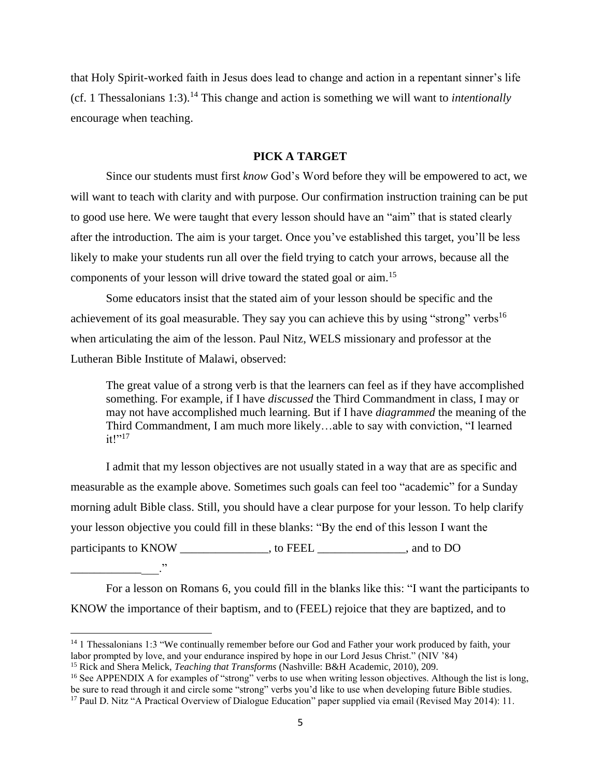that Holy Spirit-worked faith in Jesus does lead to change and action in a repentant sinner's life (cf. 1 Thessalonians 1:3).<sup>14</sup> This change and action is something we will want to *intentionally* encourage when teaching.

## **PICK A TARGET**

Since our students must first *know* God's Word before they will be empowered to act, we will want to teach with clarity and with purpose. Our confirmation instruction training can be put to good use here. We were taught that every lesson should have an "aim" that is stated clearly after the introduction. The aim is your target. Once you've established this target, you'll be less likely to make your students run all over the field trying to catch your arrows, because all the components of your lesson will drive toward the stated goal or aim. 15

Some educators insist that the stated aim of your lesson should be specific and the achievement of its goal measurable. They say you can achieve this by using "strong" verbs<sup>16</sup> when articulating the aim of the lesson. Paul Nitz, WELS missionary and professor at the Lutheran Bible Institute of Malawi, observed:

The great value of a strong verb is that the learners can feel as if they have accomplished something. For example, if I have *discussed* the Third Commandment in class, I may or may not have accomplished much learning. But if I have *diagrammed* the meaning of the Third Commandment, I am much more likely…able to say with conviction, "I learned  $it!$ "<sup>17</sup>

I admit that my lesson objectives are not usually stated in a way that are as specific and measurable as the example above. Sometimes such goals can feel too "academic" for a Sunday morning adult Bible class. Still, you should have a clear purpose for your lesson. To help clarify your lesson objective you could fill in these blanks: "By the end of this lesson I want the participants to KNOW \_\_\_\_\_\_\_\_\_\_\_\_\_\_, to FEEL \_\_\_\_\_\_\_\_\_\_\_\_\_\_, and to DO

For a lesson on Romans 6, you could fill in the blanks like this: "I want the participants to KNOW the importance of their baptism, and to (FEEL) rejoice that they are baptized, and to

\_\_\_\_\_\_\_\_\_\_\_\_\_\_\_."

l

<sup>&</sup>lt;sup>14</sup> 1 Thessalonians 1:3 "We continually remember before our God and Father your work produced by faith, your labor prompted by love, and your endurance inspired by hope in our Lord Jesus Christ." (NIV '84)

<sup>15</sup> Rick and Shera Melick, *Teaching that Transforms* (Nashville: B&H Academic, 2010), 209.

<sup>&</sup>lt;sup>16</sup> See APPENDIX A for examples of "strong" verbs to use when writing lesson objectives. Although the list is long, be sure to read through it and circle some "strong" verbs you'd like to use when developing future Bible studies. <sup>17</sup> Paul D. Nitz "A Practical Overview of Dialogue Education" paper supplied via email (Revised May 2014): 11.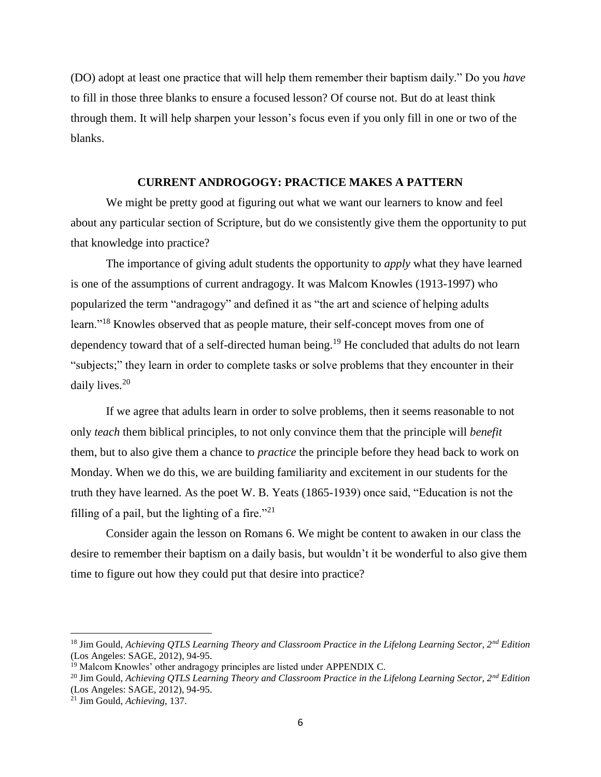(DO) adopt at least one practice that will help them remember their baptism daily." Do you *have* to fill in those three blanks to ensure a focused lesson? Of course not. But do at least think through them. It will help sharpen your lesson's focus even if you only fill in one or two of the blanks.

#### **CURRENT ANDROGOGY: PRACTICE MAKES A PATTERN**

We might be pretty good at figuring out what we want our learners to know and feel about any particular section of Scripture, but do we consistently give them the opportunity to put that knowledge into practice?

The importance of giving adult students the opportunity to *apply* what they have learned is one of the assumptions of current andragogy. It was Malcom Knowles (1913-1997) who popularized the term "andragogy" and defined it as "the art and science of helping adults learn."<sup>18</sup> Knowles observed that as people mature, their self-concept moves from one of dependency toward that of a self-directed human being.<sup>19</sup> He concluded that adults do not learn "subjects;" they learn in order to complete tasks or solve problems that they encounter in their daily lives.<sup>20</sup>

If we agree that adults learn in order to solve problems, then it seems reasonable to not only *teach* them biblical principles, to not only convince them that the principle will *benefit*  them, but to also give them a chance to *practice* the principle before they head back to work on Monday. When we do this, we are building familiarity and excitement in our students for the truth they have learned. As the poet W. B. Yeats (1865-1939) once said, "Education is not the filling of a pail, but the lighting of a fire."<sup>21</sup>

Consider again the lesson on Romans 6. We might be content to awaken in our class the desire to remember their baptism on a daily basis, but wouldn't it be wonderful to also give them time to figure out how they could put that desire into practice?

l

<sup>18</sup> Jim Gould, *Achieving QTLS Learning Theory and Classroom Practice in the Lifelong Learning Sector, 2nd Edition*  (Los Angeles: SAGE, 2012), 94-95.

<sup>&</sup>lt;sup>19</sup> Malcom Knowles' other andragogy principles are listed under APPENDIX C.

<sup>20</sup> Jim Gould, *Achieving QTLS Learning Theory and Classroom Practice in the Lifelong Learning Sector, 2nd Edition*  (Los Angeles: SAGE, 2012), 94-95.

<sup>21</sup> Jim Gould, *Achieving*, 137.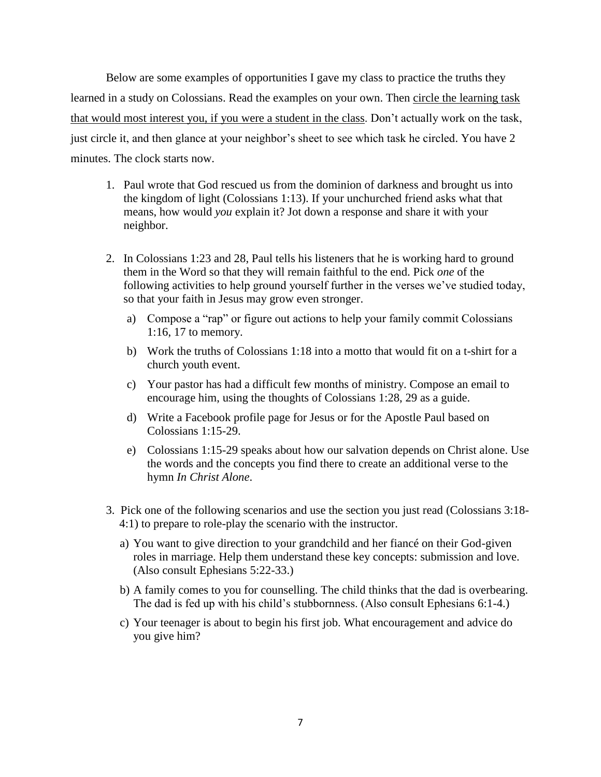Below are some examples of opportunities I gave my class to practice the truths they learned in a study on Colossians. Read the examples on your own. Then circle the learning task that would most interest you, if you were a student in the class. Don't actually work on the task, just circle it, and then glance at your neighbor's sheet to see which task he circled. You have 2 minutes. The clock starts now.

- 1. Paul wrote that God rescued us from the dominion of darkness and brought us into the kingdom of light (Colossians 1:13). If your unchurched friend asks what that means, how would *you* explain it? Jot down a response and share it with your neighbor.
- 2. In Colossians 1:23 and 28, Paul tells his listeners that he is working hard to ground them in the Word so that they will remain faithful to the end. Pick *one* of the following activities to help ground yourself further in the verses we've studied today, so that your faith in Jesus may grow even stronger.
	- a) Compose a "rap" or figure out actions to help your family commit Colossians 1:16, 17 to memory.
	- b) Work the truths of Colossians 1:18 into a motto that would fit on a t-shirt for a church youth event.
	- c) Your pastor has had a difficult few months of ministry. Compose an email to encourage him, using the thoughts of Colossians 1:28, 29 as a guide.
	- d) Write a Facebook profile page for Jesus or for the Apostle Paul based on Colossians 1:15-29.
	- e) Colossians 1:15-29 speaks about how our salvation depends on Christ alone. Use the words and the concepts you find there to create an additional verse to the hymn *In Christ Alone*.
- 3. Pick one of the following scenarios and use the section you just read (Colossians 3:18- 4:1) to prepare to role-play the scenario with the instructor.
	- a) You want to give direction to your grandchild and her fiancé on their God-given roles in marriage. Help them understand these key concepts: submission and love. (Also consult Ephesians 5:22-33.)
	- b) A family comes to you for counselling. The child thinks that the dad is overbearing. The dad is fed up with his child's stubbornness. (Also consult Ephesians 6:1-4.)
	- c) Your teenager is about to begin his first job. What encouragement and advice do you give him?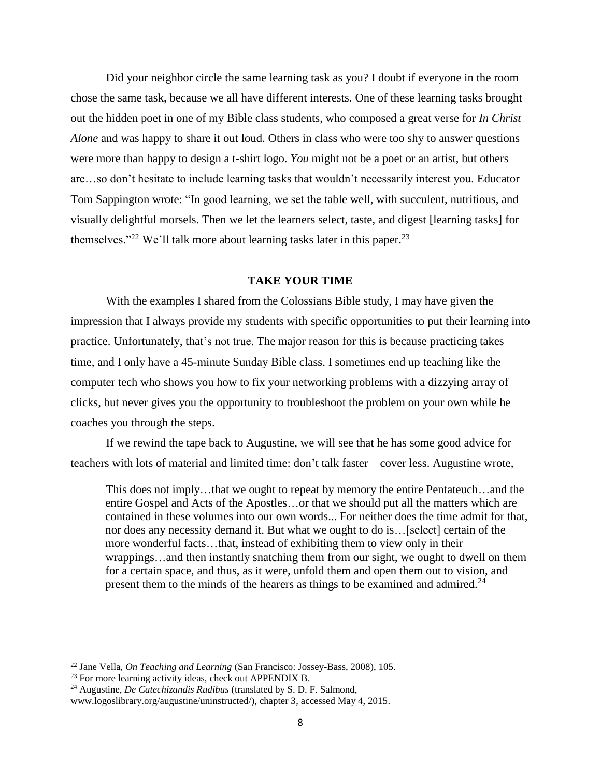Did your neighbor circle the same learning task as you? I doubt if everyone in the room chose the same task, because we all have different interests. One of these learning tasks brought out the hidden poet in one of my Bible class students, who composed a great verse for *In Christ Alone* and was happy to share it out loud. Others in class who were too shy to answer questions were more than happy to design a t-shirt logo. *You* might not be a poet or an artist, but others are…so don't hesitate to include learning tasks that wouldn't necessarily interest you. Educator Tom Sappington wrote: "In good learning, we set the table well, with succulent, nutritious, and visually delightful morsels. Then we let the learners select, taste, and digest [learning tasks] for themselves."<sup>22</sup> We'll talk more about learning tasks later in this paper.<sup>23</sup>

#### **TAKE YOUR TIME**

With the examples I shared from the Colossians Bible study, I may have given the impression that I always provide my students with specific opportunities to put their learning into practice. Unfortunately, that's not true. The major reason for this is because practicing takes time, and I only have a 45-minute Sunday Bible class. I sometimes end up teaching like the computer tech who shows you how to fix your networking problems with a dizzying array of clicks, but never gives you the opportunity to troubleshoot the problem on your own while he coaches you through the steps.

If we rewind the tape back to Augustine, we will see that he has some good advice for teachers with lots of material and limited time: don't talk faster—cover less. Augustine wrote,

This does not imply…that we ought to repeat by memory the entire Pentateuch…and the entire Gospel and Acts of the Apostles…or that we should put all the matters which are contained in these volumes into our own words... For neither does the time admit for that, nor does any necessity demand it. But what we ought to do is…[select] certain of the more wonderful facts…that, instead of exhibiting them to view only in their wrappings…and then instantly snatching them from our sight, we ought to dwell on them for a certain space, and thus, as it were, unfold them and open them out to vision, and present them to the minds of the hearers as things to be examined and admired.<sup>24</sup>

<sup>22</sup> Jane Vella, *On Teaching and Learning* (San Francisco: Jossey-Bass, 2008), 105.

<sup>&</sup>lt;sup>23</sup> For more learning activity ideas, check out APPENDIX B.

<sup>24</sup> Augustine, *De Catechizandis Rudibus* (translated by S. D. F. Salmond, www.logoslibrary.org/augustine/uninstructed/), chapter 3, accessed May 4, 2015.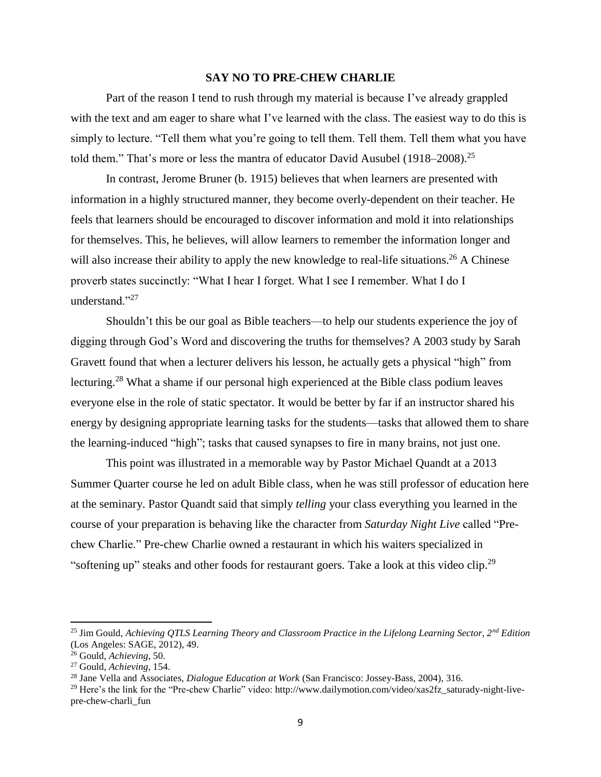#### **SAY NO TO PRE-CHEW CHARLIE**

Part of the reason I tend to rush through my material is because I've already grappled with the text and am eager to share what I've learned with the class. The easiest way to do this is simply to lecture. "Tell them what you're going to tell them. Tell them. Tell them what you have told them." That's more or less the mantra of educator David Ausubel (1918–2008).<sup>25</sup>

In contrast, Jerome Bruner (b. 1915) believes that when learners are presented with information in a highly structured manner, they become overly-dependent on their teacher. He feels that learners should be encouraged to discover information and mold it into relationships for themselves. This, he believes, will allow learners to remember the information longer and will also increase their ability to apply the new knowledge to real-life situations.<sup>26</sup> A Chinese proverb states succinctly: "What I hear I forget. What I see I remember. What I do I understand."<sup>27</sup>

Shouldn't this be our goal as Bible teachers—to help our students experience the joy of digging through God's Word and discovering the truths for themselves? A 2003 study by Sarah Gravett found that when a lecturer delivers his lesson, he actually gets a physical "high" from lecturing.<sup>28</sup> What a shame if our personal high experienced at the Bible class podium leaves everyone else in the role of static spectator. It would be better by far if an instructor shared his energy by designing appropriate learning tasks for the students—tasks that allowed them to share the learning-induced "high"; tasks that caused synapses to fire in many brains, not just one.

This point was illustrated in a memorable way by Pastor Michael Quandt at a 2013 Summer Quarter course he led on adult Bible class, when he was still professor of education here at the seminary. Pastor Quandt said that simply *telling* your class everything you learned in the course of your preparation is behaving like the character from *Saturday Night Live* called "Prechew Charlie." Pre-chew Charlie owned a restaurant in which his waiters specialized in "softening up" steaks and other foods for restaurant goers. Take a look at this video clip.<sup>29</sup>

<sup>25</sup> Jim Gould, *Achieving QTLS Learning Theory and Classroom Practice in the Lifelong Learning Sector, 2nd Edition*  (Los Angeles: SAGE, 2012), 49.

<sup>26</sup> Gould, *Achieving*, 50.

<sup>27</sup> Gould, *Achieving*, 154.

<sup>28</sup> Jane Vella and Associates, *Dialogue Education at Work* (San Francisco: Jossey-Bass, 2004), 316.

<sup>&</sup>lt;sup>29</sup> Here's the link for the "Pre-chew Charlie" video: http://www.dailymotion.com/video/xas2fz\_saturady-night-livepre-chew-charli\_fun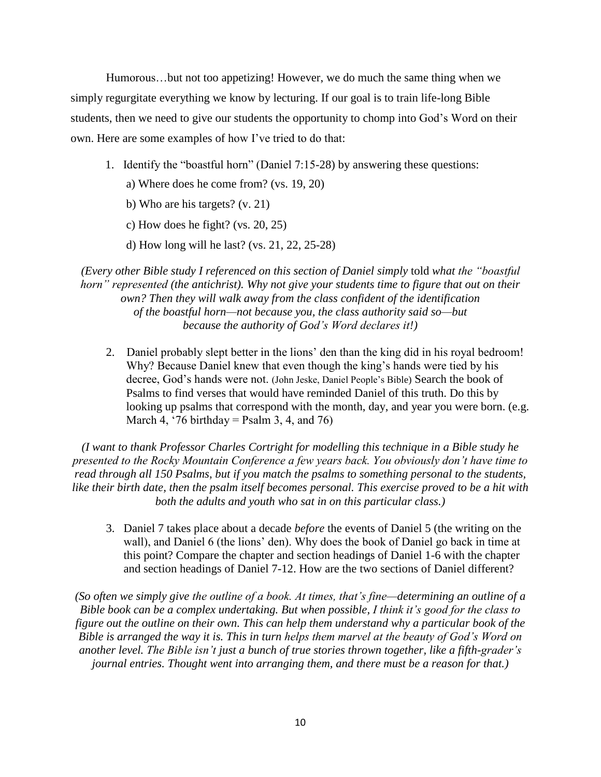Humorous…but not too appetizing! However, we do much the same thing when we simply regurgitate everything we know by lecturing. If our goal is to train life-long Bible students, then we need to give our students the opportunity to chomp into God's Word on their own. Here are some examples of how I've tried to do that:

- 1. Identify the "boastful horn" (Daniel 7:15-28) by answering these questions:
	- a) Where does he come from? (vs. 19, 20)
	- b) Who are his targets? (v. 21)
	- c) How does he fight? (vs. 20, 25)
	- d) How long will he last? (vs. 21, 22, 25-28)

*(Every other Bible study I referenced on this section of Daniel simply* told *what the "boastful horn" represented (the antichrist). Why not give your students time to figure that out on their own? Then they will walk away from the class confident of the identification of the boastful horn—not because you, the class authority said so—but because the authority of God's Word declares it!)*

2. Daniel probably slept better in the lions' den than the king did in his royal bedroom! Why? Because Daniel knew that even though the king's hands were tied by his decree, God's hands were not. (John Jeske, Daniel People's Bible) Search the book of Psalms to find verses that would have reminded Daniel of this truth. Do this by looking up psalms that correspond with the month, day, and year you were born. (e.g. March 4, '76 birthday = Psalm 3, 4, and 76)

*(I want to thank Professor Charles Cortright for modelling this technique in a Bible study he presented to the Rocky Mountain Conference a few years back. You obviously don't have time to read through all 150 Psalms, but if you match the psalms to something personal to the students, like their birth date, then the psalm itself becomes personal. This exercise proved to be a hit with both the adults and youth who sat in on this particular class.)*

3. Daniel 7 takes place about a decade *before* the events of Daniel 5 (the writing on the wall), and Daniel 6 (the lions' den). Why does the book of Daniel go back in time at this point? Compare the chapter and section headings of Daniel 1-6 with the chapter and section headings of Daniel 7-12. How are the two sections of Daniel different?

*(So often we simply give the outline of a book. At times, that's fine—determining an outline of a Bible book can be a complex undertaking. But when possible, I think it's good for the class to figure out the outline on their own. This can help them understand why a particular book of the Bible is arranged the way it is. This in turn helps them marvel at the beauty of God's Word on another level. The Bible isn't just a bunch of true stories thrown together, like a fifth-grader's journal entries. Thought went into arranging them, and there must be a reason for that.)*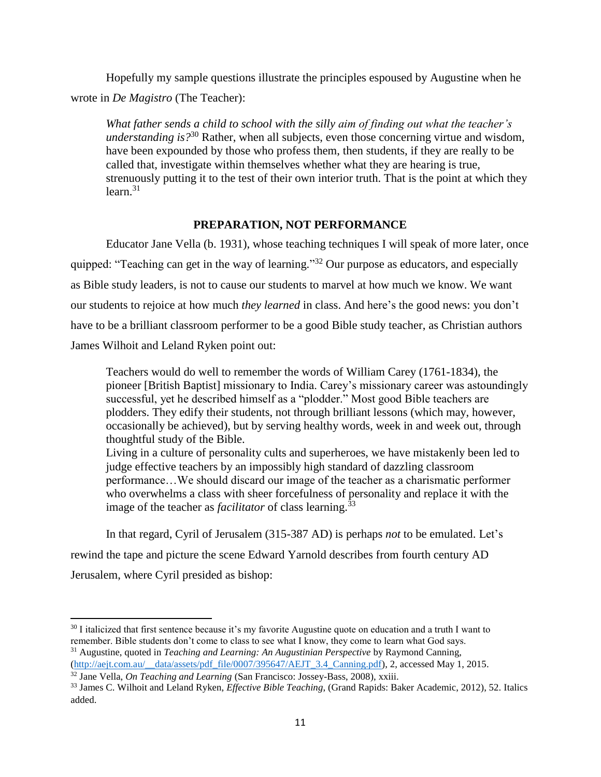Hopefully my sample questions illustrate the principles espoused by Augustine when he wrote in *De Magistro* (The Teacher):

*What father sends a child to school with the silly aim of finding out what the teacher's understanding is?*<sup>30</sup> Rather, when all subjects, even those concerning virtue and wisdom, have been expounded by those who profess them, then students, if they are really to be called that, investigate within themselves whether what they are hearing is true, strenuously putting it to the test of their own interior truth. That is the point at which they  $learn<sup>31</sup>$ 

## **PREPARATION, NOT PERFORMANCE**

Educator Jane Vella (b. 1931), whose teaching techniques I will speak of more later, once quipped: "Teaching can get in the way of learning."<sup>32</sup> Our purpose as educators, and especially as Bible study leaders, is not to cause our students to marvel at how much we know. We want our students to rejoice at how much *they learned* in class. And here's the good news: you don't have to be a brilliant classroom performer to be a good Bible study teacher, as Christian authors James Wilhoit and Leland Ryken point out:

Teachers would do well to remember the words of William Carey (1761-1834), the pioneer [British Baptist] missionary to India. Carey's missionary career was astoundingly successful, yet he described himself as a "plodder." Most good Bible teachers are plodders. They edify their students, not through brilliant lessons (which may, however, occasionally be achieved), but by serving healthy words, week in and week out, through thoughtful study of the Bible.

Living in a culture of personality cults and superheroes, we have mistakenly been led to judge effective teachers by an impossibly high standard of dazzling classroom performance…We should discard our image of the teacher as a charismatic performer who overwhelms a class with sheer forcefulness of personality and replace it with the image of the teacher as *facilitator* of class learning.<sup>33</sup>

In that regard, Cyril of Jerusalem (315-387 AD) is perhaps *not* to be emulated. Let's rewind the tape and picture the scene Edward Yarnold describes from fourth century AD Jerusalem, where Cyril presided as bishop:

 $30$  I italicized that first sentence because it's my favorite Augustine quote on education and a truth I want to remember. Bible students don't come to class to see what I know, they come to learn what God says. <sup>31</sup> Augustine, quoted in *Teaching and Learning: An Augustinian Perspective* by Raymond Canning,

[<sup>\(</sup>http://aejt.com.au/\\_\\_data/assets/pdf\\_file/0007/395647/AEJT\\_3.4\\_Canning.pdf\)](http://aejt.com.au/__data/assets/pdf_file/0007/395647/AEJT_3.4_Canning.pdf), 2, accessed May 1, 2015. <sup>32</sup> Jane Vella, *On Teaching and Learning* (San Francisco: Jossey-Bass, 2008), xxiii.

<sup>33</sup> James C. Wilhoit and Leland Ryken, *Effective Bible Teaching*, (Grand Rapids: Baker Academic, 2012), 52. Italics added.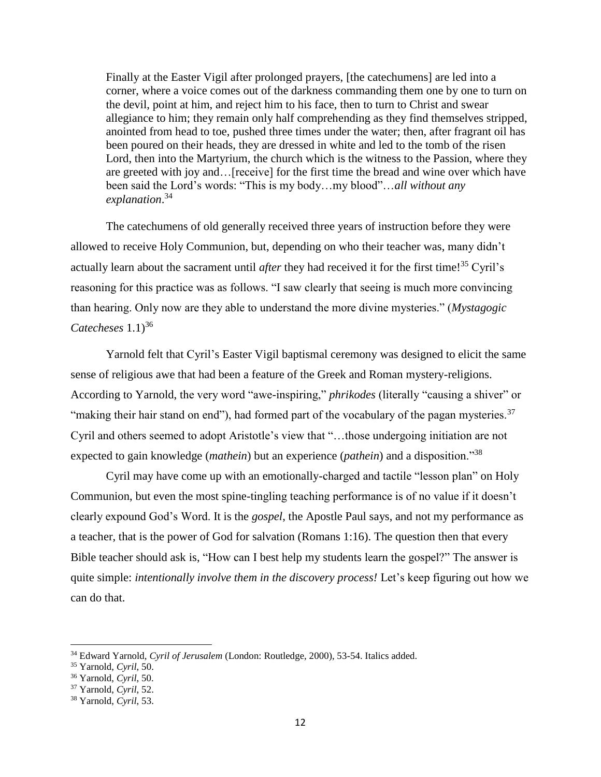Finally at the Easter Vigil after prolonged prayers, [the catechumens] are led into a corner, where a voice comes out of the darkness commanding them one by one to turn on the devil, point at him, and reject him to his face, then to turn to Christ and swear allegiance to him; they remain only half comprehending as they find themselves stripped, anointed from head to toe, pushed three times under the water; then, after fragrant oil has been poured on their heads, they are dressed in white and led to the tomb of the risen Lord, then into the Martyrium, the church which is the witness to the Passion, where they are greeted with joy and…[receive] for the first time the bread and wine over which have been said the Lord's words: "This is my body…my blood"…*all without any explanation*. 34

The catechumens of old generally received three years of instruction before they were allowed to receive Holy Communion, but, depending on who their teacher was, many didn't actually learn about the sacrament until *after* they had received it for the first time!<sup>35</sup> Cyril's reasoning for this practice was as follows. "I saw clearly that seeing is much more convincing than hearing. Only now are they able to understand the more divine mysteries." (*Mystagogic Catecheses*  $1.1$ <sup>36</sup>

Yarnold felt that Cyril's Easter Vigil baptismal ceremony was designed to elicit the same sense of religious awe that had been a feature of the Greek and Roman mystery-religions. According to Yarnold, the very word "awe-inspiring," *phrikodes* (literally "causing a shiver" or "making their hair stand on end"), had formed part of the vocabulary of the pagan mysteries.  $37$ Cyril and others seemed to adopt Aristotle's view that "…those undergoing initiation are not expected to gain knowledge (*mathein*) but an experience (*pathein*) and a disposition."<sup>38</sup>

Cyril may have come up with an emotionally-charged and tactile "lesson plan" on Holy Communion, but even the most spine-tingling teaching performance is of no value if it doesn't clearly expound God's Word. It is the *gospel*, the Apostle Paul says, and not my performance as a teacher, that is the power of God for salvation (Romans 1:16). The question then that every Bible teacher should ask is, "How can I best help my students learn the gospel?" The answer is quite simple: *intentionally involve them in the discovery process!* Let's keep figuring out how we can do that.

 $\overline{a}$ 

<sup>34</sup> Edward Yarnold, *Cyril of Jerusalem* (London: Routledge, 2000), 53-54. Italics added.

<sup>35</sup> Yarnold, *Cyril*, 50.

<sup>36</sup> Yarnold, *Cyril*, 50.

<sup>37</sup> Yarnold, *Cyril*, 52.

<sup>38</sup> Yarnold, *Cyril*, 53.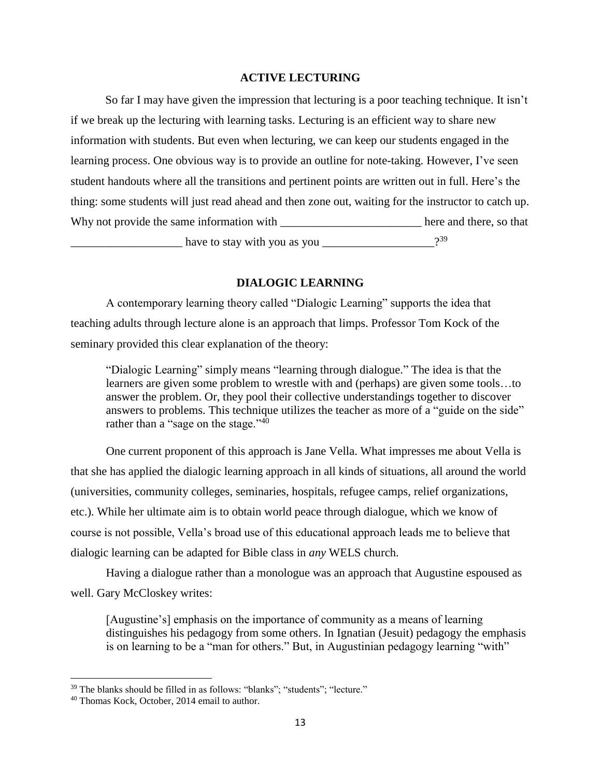#### **ACTIVE LECTURING**

So far I may have given the impression that lecturing is a poor teaching technique. It isn't if we break up the lecturing with learning tasks. Lecturing is an efficient way to share new information with students. But even when lecturing, we can keep our students engaged in the learning process. One obvious way is to provide an outline for note-taking. However, I've seen student handouts where all the transitions and pertinent points are written out in full. Here's the thing: some students will just read ahead and then zone out, waiting for the instructor to catch up. Why not provide the same information with here and there, so that have to stay with you as you 39

#### **DIALOGIC LEARNING**

A contemporary learning theory called "Dialogic Learning" supports the idea that teaching adults through lecture alone is an approach that limps. Professor Tom Kock of the seminary provided this clear explanation of the theory:

"Dialogic Learning" simply means "learning through dialogue." The idea is that the learners are given some problem to wrestle with and (perhaps) are given some tools…to answer the problem. Or, they pool their collective understandings together to discover answers to problems. This technique utilizes the teacher as more of a "guide on the side" rather than a "sage on the stage." $40$ 

One current proponent of this approach is Jane Vella. What impresses me about Vella is that she has applied the dialogic learning approach in all kinds of situations, all around the world (universities, community colleges, seminaries, hospitals, refugee camps, relief organizations, etc.). While her ultimate aim is to obtain world peace through dialogue, which we know of course is not possible, Vella's broad use of this educational approach leads me to believe that dialogic learning can be adapted for Bible class in *any* WELS church.

Having a dialogue rather than a monologue was an approach that Augustine espoused as well. Gary McCloskey writes:

[Augustine's] emphasis on the importance of community as a means of learning distinguishes his pedagogy from some others. In Ignatian (Jesuit) pedagogy the emphasis is on learning to be a "man for others." But, in Augustinian pedagogy learning "with"

<sup>&</sup>lt;sup>39</sup> The blanks should be filled in as follows: "blanks"; "students"; "lecture."

<sup>40</sup> Thomas Kock, October, 2014 email to author.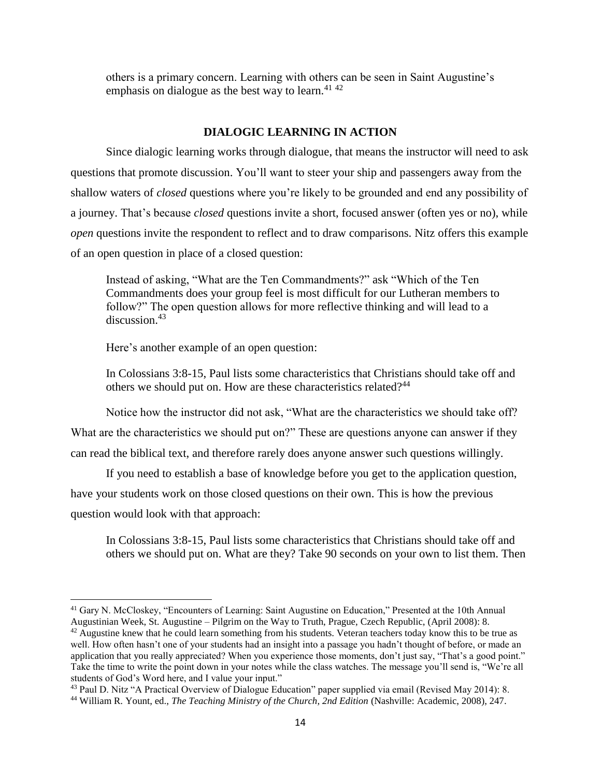others is a primary concern. Learning with others can be seen in Saint Augustine's emphasis on dialogue as the best way to learn.<sup>41 42</sup>

## **DIALOGIC LEARNING IN ACTION**

Since dialogic learning works through dialogue, that means the instructor will need to ask questions that promote discussion. You'll want to steer your ship and passengers away from the shallow waters of *closed* questions where you're likely to be grounded and end any possibility of a journey. That's because *closed* questions invite a short, focused answer (often yes or no), while *open* questions invite the respondent to reflect and to draw comparisons. Nitz offers this example of an open question in place of a closed question:

Instead of asking, "What are the Ten Commandments?" ask "Which of the Ten Commandments does your group feel is most difficult for our Lutheran members to follow?" The open question allows for more reflective thinking and will lead to a discussion. 43

Here's another example of an open question:

 $\overline{\phantom{a}}$ 

In Colossians 3:8-15, Paul lists some characteristics that Christians should take off and others we should put on. How are these characteristics related?<sup>44</sup>

Notice how the instructor did not ask, "What are the characteristics we should take off? What are the characteristics we should put on?" These are questions anyone can answer if they can read the biblical text, and therefore rarely does anyone answer such questions willingly.

If you need to establish a base of knowledge before you get to the application question, have your students work on those closed questions on their own. This is how the previous question would look with that approach:

In Colossians 3:8-15, Paul lists some characteristics that Christians should take off and others we should put on. What are they? Take 90 seconds on your own to list them. Then

<sup>&</sup>lt;sup>41</sup> Gary N. McCloskey, "Encounters of Learning: Saint Augustine on Education," Presented at the 10th Annual Augustinian Week, St. Augustine – Pilgrim on the Way to Truth, Prague, Czech Republic, (April 2008): 8.

 $42$  Augustine knew that he could learn something from his students. Veteran teachers today know this to be true as well. How often hasn't one of your students had an insight into a passage you hadn't thought of before, or made an application that you really appreciated? When you experience those moments, don't just say, "That's a good point." Take the time to write the point down in your notes while the class watches. The message you'll send is, "We're all students of God's Word here, and I value your input."

<sup>43</sup> Paul D. Nitz "A Practical Overview of Dialogue Education" paper supplied via email (Revised May 2014): 8.

<sup>44</sup> William R. Yount, ed., *The Teaching Ministry of the Church, 2nd Edition* (Nashville: Academic, 2008), 247.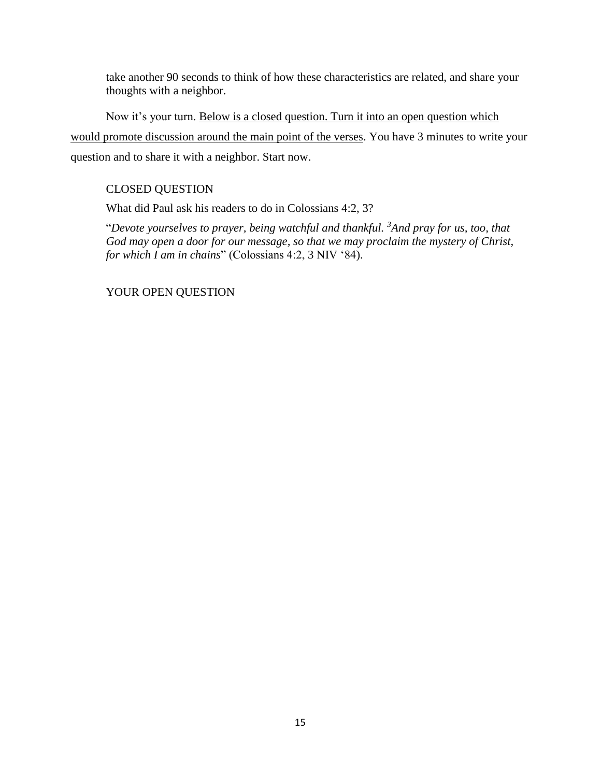take another 90 seconds to think of how these characteristics are related, and share your thoughts with a neighbor.

Now it's your turn. Below is a closed question. Turn it into an open question which would promote discussion around the main point of the verses. You have 3 minutes to write your question and to share it with a neighbor. Start now.

## CLOSED QUESTION

What did Paul ask his readers to do in Colossians 4:2, 3?

"*Devote yourselves to prayer, being watchful and thankful. <sup>3</sup>And pray for us, too, that God may open a door for our message, so that we may proclaim the mystery of Christ, for which I am in chains*" (Colossians 4:2, 3 NIV '84).

YOUR OPEN QUESTION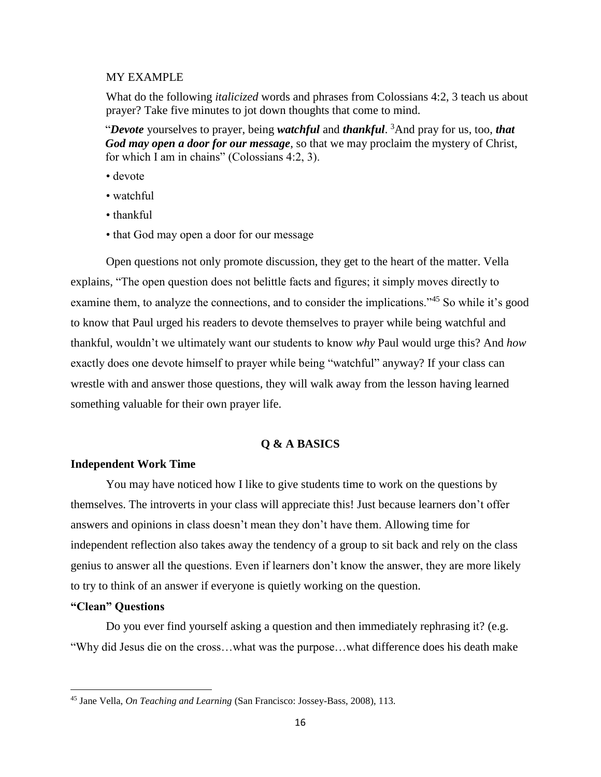#### MY EXAMPLE

What do the following *italicized* words and phrases from Colossians 4:2, 3 teach us about prayer? Take five minutes to jot down thoughts that come to mind.

"*Devote* yourselves to prayer, being *watchful* and *thankful*. <sup>3</sup>And pray for us, too, *that God may open a door for our message*, so that we may proclaim the mystery of Christ, for which I am in chains" (Colossians 4:2, 3).

- devote
- watchful
- thankful
- that God may open a door for our message

Open questions not only promote discussion, they get to the heart of the matter. Vella explains, "The open question does not belittle facts and figures; it simply moves directly to examine them, to analyze the connections, and to consider the implications."<sup>45</sup> So while it's good to know that Paul urged his readers to devote themselves to prayer while being watchful and thankful, wouldn't we ultimately want our students to know *why* Paul would urge this? And *how*  exactly does one devote himself to prayer while being "watchful" anyway? If your class can wrestle with and answer those questions, they will walk away from the lesson having learned something valuable for their own prayer life.

## **Q & A BASICS**

#### **Independent Work Time**

You may have noticed how I like to give students time to work on the questions by themselves. The introverts in your class will appreciate this! Just because learners don't offer answers and opinions in class doesn't mean they don't have them. Allowing time for independent reflection also takes away the tendency of a group to sit back and rely on the class genius to answer all the questions. Even if learners don't know the answer, they are more likely to try to think of an answer if everyone is quietly working on the question.

## **"Clean" Questions**

 $\overline{\phantom{a}}$ 

Do you ever find yourself asking a question and then immediately rephrasing it? (e.g. "Why did Jesus die on the cross…what was the purpose…what difference does his death make

<sup>45</sup> Jane Vella, *On Teaching and Learning* (San Francisco: Jossey-Bass, 2008), 113.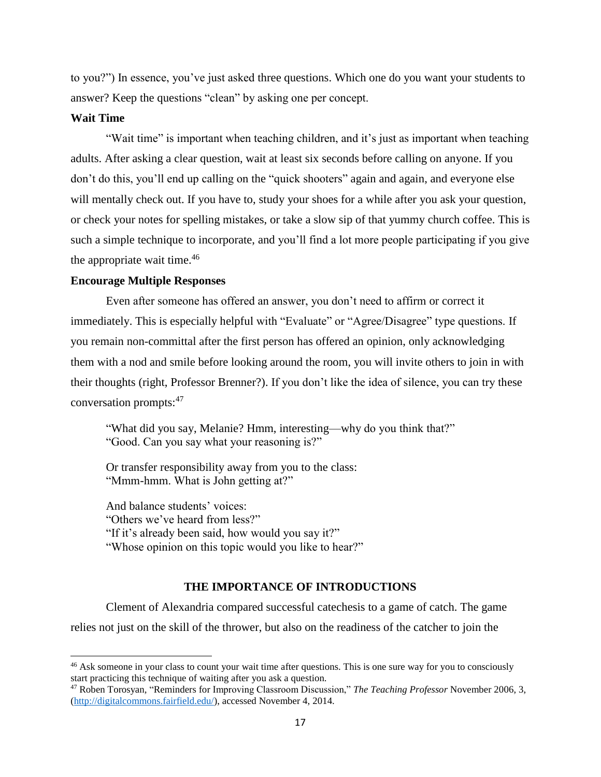to you?") In essence, you've just asked three questions. Which one do you want your students to answer? Keep the questions "clean" by asking one per concept.

## **Wait Time**

 $\overline{\phantom{a}}$ 

"Wait time" is important when teaching children, and it's just as important when teaching adults. After asking a clear question, wait at least six seconds before calling on anyone. If you don't do this, you'll end up calling on the "quick shooters" again and again, and everyone else will mentally check out. If you have to, study your shoes for a while after you ask your question, or check your notes for spelling mistakes, or take a slow sip of that yummy church coffee. This is such a simple technique to incorporate, and you'll find a lot more people participating if you give the appropriate wait time.<sup>46</sup>

#### **Encourage Multiple Responses**

Even after someone has offered an answer, you don't need to affirm or correct it immediately. This is especially helpful with "Evaluate" or "Agree/Disagree" type questions. If you remain non-committal after the first person has offered an opinion, only acknowledging them with a nod and smile before looking around the room, you will invite others to join in with their thoughts (right, Professor Brenner?). If you don't like the idea of silence, you can try these conversation prompts:<sup>47</sup>

"What did you say, Melanie? Hmm, interesting—why do you think that?" "Good. Can you say what your reasoning is?"

Or transfer responsibility away from you to the class: "Mmm-hmm. What is John getting at?"

And balance students' voices: "Others we've heard from less?" "If it's already been said, how would you say it?" "Whose opinion on this topic would you like to hear?"

#### **THE IMPORTANCE OF INTRODUCTIONS**

Clement of Alexandria compared successful catechesis to a game of catch. The game relies not just on the skill of the thrower, but also on the readiness of the catcher to join the

<sup>&</sup>lt;sup>46</sup> Ask someone in your class to count your wait time after questions. This is one sure way for you to consciously start practicing this technique of waiting after you ask a question.

<sup>47</sup> Roben Torosyan*,* "Reminders for Improving Classroom Discussion," *The Teaching Professor* November 2006, 3, [\(http://digitalcommons.fairfield.edu/\)](http://digitalcommons.fairfield.edu/), accessed November 4, 2014.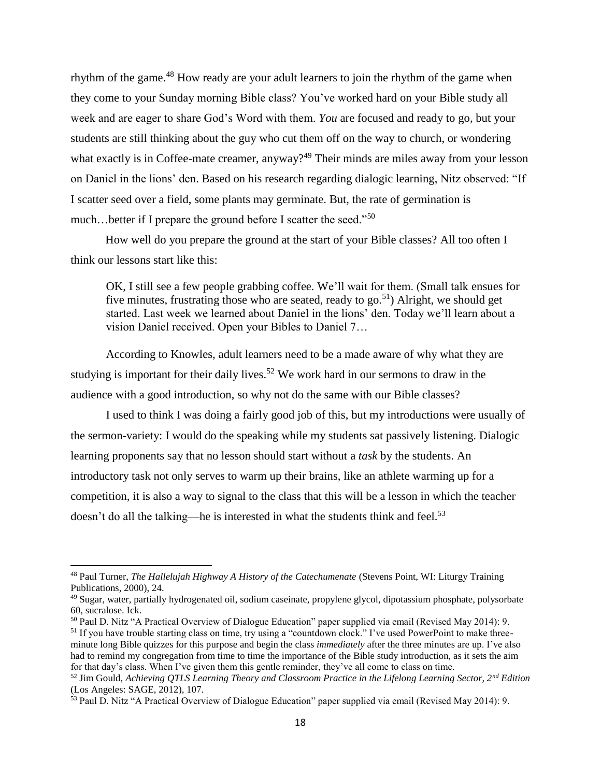rhythm of the game.<sup>48</sup> How ready are your adult learners to join the rhythm of the game when they come to your Sunday morning Bible class? You've worked hard on your Bible study all week and are eager to share God's Word with them. *You* are focused and ready to go, but your students are still thinking about the guy who cut them off on the way to church, or wondering what exactly is in Coffee-mate creamer, anyway?<sup>49</sup> Their minds are miles away from your lesson on Daniel in the lions' den. Based on his research regarding dialogic learning, Nitz observed: "If I scatter seed over a field, some plants may germinate. But, the rate of germination is much…better if I prepare the ground before I scatter the seed."<sup>50</sup>

How well do you prepare the ground at the start of your Bible classes? All too often I think our lessons start like this:

OK, I still see a few people grabbing coffee. We'll wait for them. (Small talk ensues for five minutes, frustrating those who are seated, ready to go.<sup>51</sup>) Alright, we should get started. Last week we learned about Daniel in the lions' den. Today we'll learn about a vision Daniel received. Open your Bibles to Daniel 7…

According to Knowles, adult learners need to be a made aware of why what they are studying is important for their daily lives.<sup>52</sup> We work hard in our sermons to draw in the audience with a good introduction, so why not do the same with our Bible classes?

I used to think I was doing a fairly good job of this, but my introductions were usually of the sermon-variety: I would do the speaking while my students sat passively listening. Dialogic learning proponents say that no lesson should start without a *task* by the students. An introductory task not only serves to warm up their brains, like an athlete warming up for a competition, it is also a way to signal to the class that this will be a lesson in which the teacher doesn't do all the talking—he is interested in what the students think and feel.<sup>53</sup>

 $\overline{a}$ 

<sup>48</sup> Paul Turner, *The Hallelujah Highway A History of the Catechumenate* (Stevens Point, WI: Liturgy Training Publications, 2000), 24.

<sup>&</sup>lt;sup>49</sup> Sugar, water, partially hydrogenated oil, sodium caseinate, propylene glycol, dipotassium phosphate, polysorbate 60, sucralose. Ick.

<sup>50</sup> Paul D. Nitz "A Practical Overview of Dialogue Education" paper supplied via email (Revised May 2014): 9.

<sup>&</sup>lt;sup>51</sup> If you have trouble starting class on time, try using a "countdown clock." I've used PowerPoint to make threeminute long Bible quizzes for this purpose and begin the class *immediately* after the three minutes are up. I've also had to remind my congregation from time to time the importance of the Bible study introduction, as it sets the aim for that day's class. When I've given them this gentle reminder, they've all come to class on time.

<sup>52</sup> Jim Gould, *Achieving QTLS Learning Theory and Classroom Practice in the Lifelong Learning Sector, 2nd Edition*  (Los Angeles: SAGE, 2012), 107.

<sup>&</sup>lt;sup>53</sup> Paul D. Nitz "A Practical Overview of Dialogue Education" paper supplied via email (Revised May 2014): 9.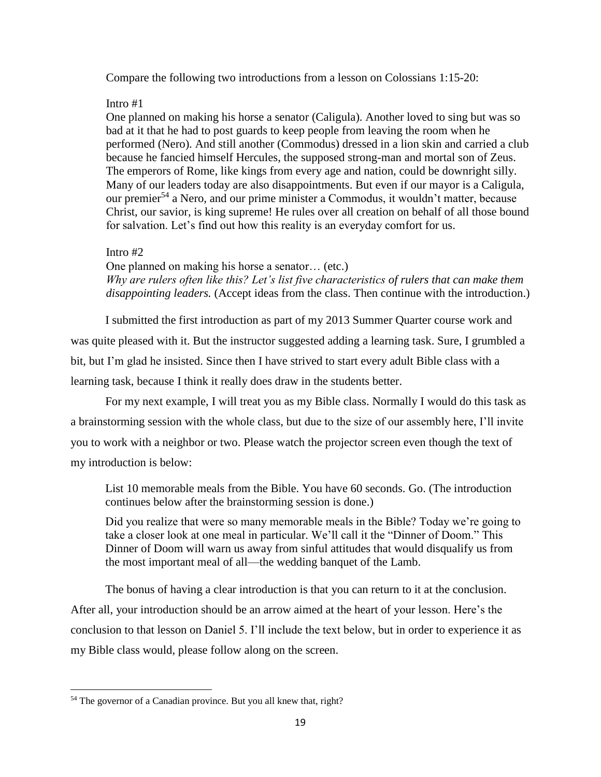Compare the following two introductions from a lesson on Colossians 1:15-20:

## Intro #1

One planned on making his horse a senator (Caligula). Another loved to sing but was so bad at it that he had to post guards to keep people from leaving the room when he performed (Nero). And still another (Commodus) dressed in a lion skin and carried a club because he fancied himself Hercules, the supposed strong-man and mortal son of Zeus. The emperors of Rome, like kings from every age and nation, could be downright silly. Many of our leaders today are also disappointments. But even if our mayor is a Caligula, our premier<sup>54</sup> a Nero, and our prime minister a Commodus, it wouldn't matter, because Christ, our savior, is king supreme! He rules over all creation on behalf of all those bound for salvation. Let's find out how this reality is an everyday comfort for us.

## Intro #2

One planned on making his horse a senator… (etc.) *Why are rulers often like this? Let's list five characteristics of rulers that can make them disappointing leaders.* (Accept ideas from the class. Then continue with the introduction.)

I submitted the first introduction as part of my 2013 Summer Quarter course work and was quite pleased with it. But the instructor suggested adding a learning task. Sure, I grumbled a bit, but I'm glad he insisted. Since then I have strived to start every adult Bible class with a learning task, because I think it really does draw in the students better.

For my next example, I will treat you as my Bible class. Normally I would do this task as a brainstorming session with the whole class, but due to the size of our assembly here, I'll invite you to work with a neighbor or two. Please watch the projector screen even though the text of my introduction is below:

List 10 memorable meals from the Bible. You have 60 seconds. Go. (The introduction continues below after the brainstorming session is done.)

Did you realize that were so many memorable meals in the Bible? Today we're going to take a closer look at one meal in particular. We'll call it the "Dinner of Doom." This Dinner of Doom will warn us away from sinful attitudes that would disqualify us from the most important meal of all—the wedding banquet of the Lamb.

The bonus of having a clear introduction is that you can return to it at the conclusion. After all, your introduction should be an arrow aimed at the heart of your lesson. Here's the conclusion to that lesson on Daniel 5. I'll include the text below, but in order to experience it as my Bible class would, please follow along on the screen.

<sup>&</sup>lt;sup>54</sup> The governor of a Canadian province. But you all knew that, right?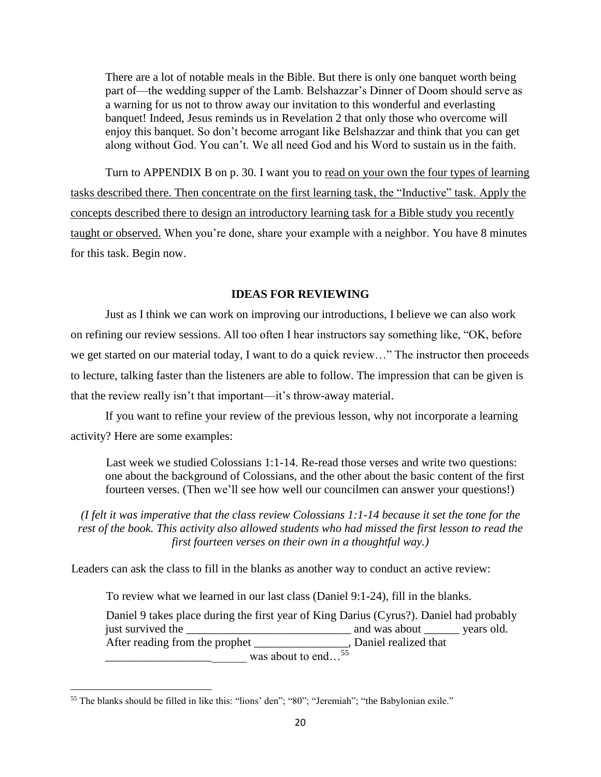There are a lot of notable meals in the Bible. But there is only one banquet worth being part of—the wedding supper of the Lamb. Belshazzar's Dinner of Doom should serve as a warning for us not to throw away our invitation to this wonderful and everlasting banquet! Indeed, Jesus reminds us in Revelation 2 that only those who overcome will enjoy this banquet. So don't become arrogant like Belshazzar and think that you can get along without God. You can't. We all need God and his Word to sustain us in the faith.

Turn to APPENDIX B on p. 30. I want you to read on your own the four types of learning tasks described there. Then concentrate on the first learning task, the "Inductive" task. Apply the concepts described there to design an introductory learning task for a Bible study you recently taught or observed. When you're done, share your example with a neighbor. You have 8 minutes for this task. Begin now.

#### **IDEAS FOR REVIEWING**

Just as I think we can work on improving our introductions, I believe we can also work on refining our review sessions. All too often I hear instructors say something like, "OK, before we get started on our material today, I want to do a quick review…" The instructor then proceeds to lecture, talking faster than the listeners are able to follow. The impression that can be given is that the review really isn't that important—it's throw-away material.

If you want to refine your review of the previous lesson, why not incorporate a learning activity? Here are some examples:

Last week we studied Colossians 1:1-14. Re-read those verses and write two questions: one about the background of Colossians, and the other about the basic content of the first fourteen verses. (Then we'll see how well our councilmen can answer your questions!)

*(I felt it was imperative that the class review Colossians 1:1-14 because it set the tone for the*  rest of the book. This activity also allowed students who had missed the first lesson to read the *first fourteen verses on their own in a thoughtful way.)*

Leaders can ask the class to fill in the blanks as another way to conduct an active review:

To review what we learned in our last class (Daniel 9:1-24), fill in the blanks.

Daniel 9 takes place during the first year of King Darius (Cyrus?). Daniel had probably just survived the \_\_\_\_\_\_\_\_\_\_\_\_\_\_\_\_\_\_\_\_\_\_\_\_\_\_\_\_ and was about \_\_\_\_\_\_ years old. After reading from the prophet \_\_\_\_\_\_\_\_\_\_\_\_\_\_\_, Daniel realized that  $\frac{1}{2}$  was about to end...<sup>55</sup>

<sup>55</sup> The blanks should be filled in like this: "lions' den"; "80"; "Jeremiah"; "the Babylonian exile."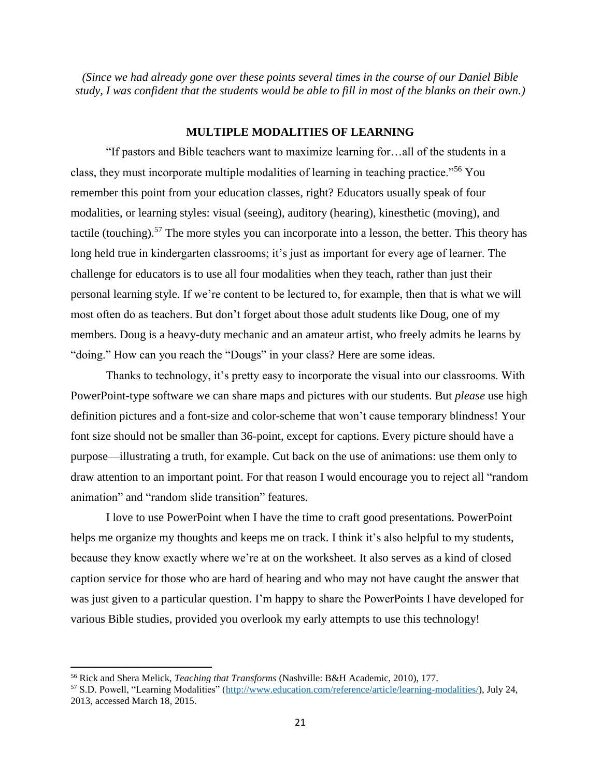*(Since we had already gone over these points several times in the course of our Daniel Bible study, I was confident that the students would be able to fill in most of the blanks on their own.)*

#### **MULTIPLE MODALITIES OF LEARNING**

"If pastors and Bible teachers want to maximize learning for…all of the students in a class, they must incorporate multiple modalities of learning in teaching practice."<sup>56</sup> You remember this point from your education classes, right? Educators usually speak of four modalities, or learning styles: visual (seeing), auditory (hearing), kinesthetic (moving), and tactile (touching).<sup>57</sup> The more styles you can incorporate into a lesson, the better. This theory has long held true in kindergarten classrooms; it's just as important for every age of learner. The challenge for educators is to use all four modalities when they teach, rather than just their personal learning style. If we're content to be lectured to, for example, then that is what we will most often do as teachers. But don't forget about those adult students like Doug, one of my members. Doug is a heavy-duty mechanic and an amateur artist, who freely admits he learns by "doing." How can you reach the "Dougs" in your class? Here are some ideas.

Thanks to technology, it's pretty easy to incorporate the visual into our classrooms. With PowerPoint-type software we can share maps and pictures with our students. But *please* use high definition pictures and a font-size and color-scheme that won't cause temporary blindness! Your font size should not be smaller than 36-point, except for captions. Every picture should have a purpose—illustrating a truth, for example. Cut back on the use of animations: use them only to draw attention to an important point. For that reason I would encourage you to reject all "random animation" and "random slide transition" features.

I love to use PowerPoint when I have the time to craft good presentations. PowerPoint helps me organize my thoughts and keeps me on track. I think it's also helpful to my students, because they know exactly where we're at on the worksheet. It also serves as a kind of closed caption service for those who are hard of hearing and who may not have caught the answer that was just given to a particular question. I'm happy to share the PowerPoints I have developed for various Bible studies, provided you overlook my early attempts to use this technology!

<sup>56</sup> Rick and Shera Melick, *Teaching that Transforms* (Nashville: B&H Academic, 2010), 177.

<sup>57</sup> S.D. Powell, "Learning Modalities" [\(http://www.education.com/reference/article/learning-modalities/\)](http://www.education.com/reference/article/learning-modalities/), July 24, 2013, accessed March 18, 2015.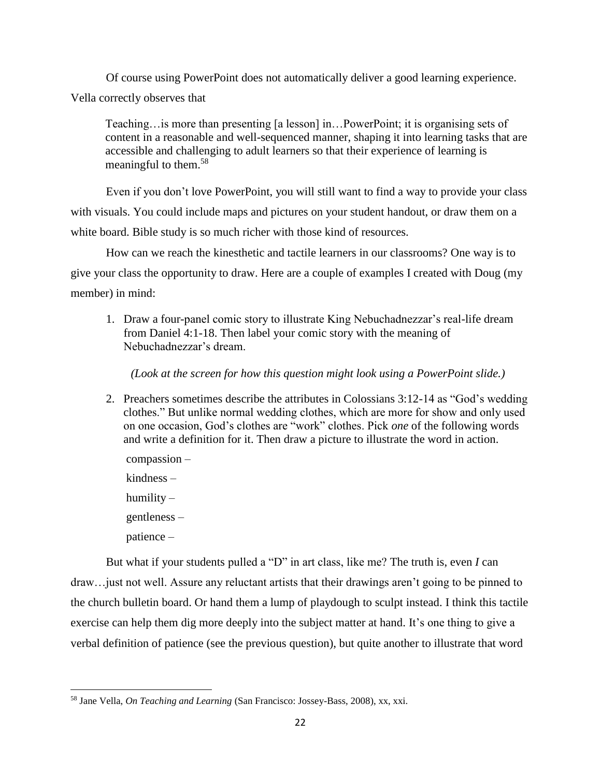Of course using PowerPoint does not automatically deliver a good learning experience. Vella correctly observes that

Teaching…is more than presenting [a lesson] in…PowerPoint; it is organising sets of content in a reasonable and well-sequenced manner, shaping it into learning tasks that are accessible and challenging to adult learners so that their experience of learning is meaningful to them.<sup>58</sup>

Even if you don't love PowerPoint, you will still want to find a way to provide your class with visuals. You could include maps and pictures on your student handout, or draw them on a white board. Bible study is so much richer with those kind of resources.

How can we reach the kinesthetic and tactile learners in our classrooms? One way is to give your class the opportunity to draw. Here are a couple of examples I created with Doug (my member) in mind:

1. Draw a four-panel comic story to illustrate King Nebuchadnezzar's real-life dream from Daniel 4:1-18. Then label your comic story with the meaning of Nebuchadnezzar's dream.

*(Look at the screen for how this question might look using a PowerPoint slide.)*

2. Preachers sometimes describe the attributes in Colossians 3:12-14 as "God's wedding clothes." But unlike normal wedding clothes, which are more for show and only used on one occasion, God's clothes are "work" clothes. Pick *one* of the following words and write a definition for it. Then draw a picture to illustrate the word in action.

compassion – kindness – humility – gentleness – patience –

 $\overline{\phantom{a}}$ 

But what if your students pulled a "D" in art class, like me? The truth is, even *I* can draw…just not well. Assure any reluctant artists that their drawings aren't going to be pinned to the church bulletin board. Or hand them a lump of playdough to sculpt instead. I think this tactile exercise can help them dig more deeply into the subject matter at hand. It's one thing to give a verbal definition of patience (see the previous question), but quite another to illustrate that word

<sup>58</sup> Jane Vella, *On Teaching and Learning* (San Francisco: Jossey-Bass, 2008), xx, xxi.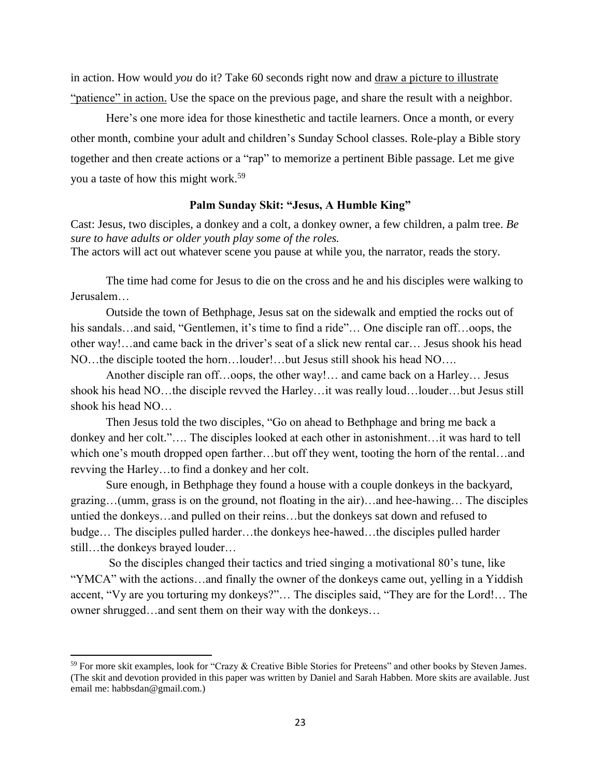in action. How would *you* do it? Take 60 seconds right now and draw a picture to illustrate "patience" in action. Use the space on the previous page, and share the result with a neighbor.

Here's one more idea for those kinesthetic and tactile learners. Once a month, or every other month, combine your adult and children's Sunday School classes. Role-play a Bible story together and then create actions or a "rap" to memorize a pertinent Bible passage. Let me give you a taste of how this might work. 59

#### **Palm Sunday Skit: "Jesus, A Humble King"**

Cast: Jesus, two disciples, a donkey and a colt, a donkey owner, a few children, a palm tree. *Be sure to have adults or older youth play some of the roles.*

The actors will act out whatever scene you pause at while you, the narrator, reads the story.

The time had come for Jesus to die on the cross and he and his disciples were walking to Jerusalem…

Outside the town of Bethphage, Jesus sat on the sidewalk and emptied the rocks out of his sandals…and said, "Gentlemen, it's time to find a ride"… One disciple ran off…oops, the other way!…and came back in the driver's seat of a slick new rental car… Jesus shook his head NO…the disciple tooted the horn…louder!…but Jesus still shook his head NO….

Another disciple ran off…oops, the other way!… and came back on a Harley… Jesus shook his head NO…the disciple revved the Harley…it was really loud…louder…but Jesus still shook his head NO…

Then Jesus told the two disciples, "Go on ahead to Bethphage and bring me back a donkey and her colt."…. The disciples looked at each other in astonishment…it was hard to tell which one's mouth dropped open farther…but off they went, tooting the horn of the rental…and revving the Harley…to find a donkey and her colt.

Sure enough, in Bethphage they found a house with a couple donkeys in the backyard, grazing…(umm, grass is on the ground, not floating in the air)…and hee-hawing… The disciples untied the donkeys…and pulled on their reins…but the donkeys sat down and refused to budge… The disciples pulled harder…the donkeys hee-hawed…the disciples pulled harder still…the donkeys brayed louder…

So the disciples changed their tactics and tried singing a motivational 80's tune, like "YMCA" with the actions…and finally the owner of the donkeys came out, yelling in a Yiddish accent, "Vy are you torturing my donkeys?"… The disciples said, "They are for the Lord!… The owner shrugged…and sent them on their way with the donkeys…

<sup>&</sup>lt;sup>59</sup> For more skit examples, look for "Crazy & Creative Bible Stories for Preteens" and other books by Steven James. (The skit and devotion provided in this paper was written by Daniel and Sarah Habben. More skits are available. Just email me: habbsdan@gmail.com.)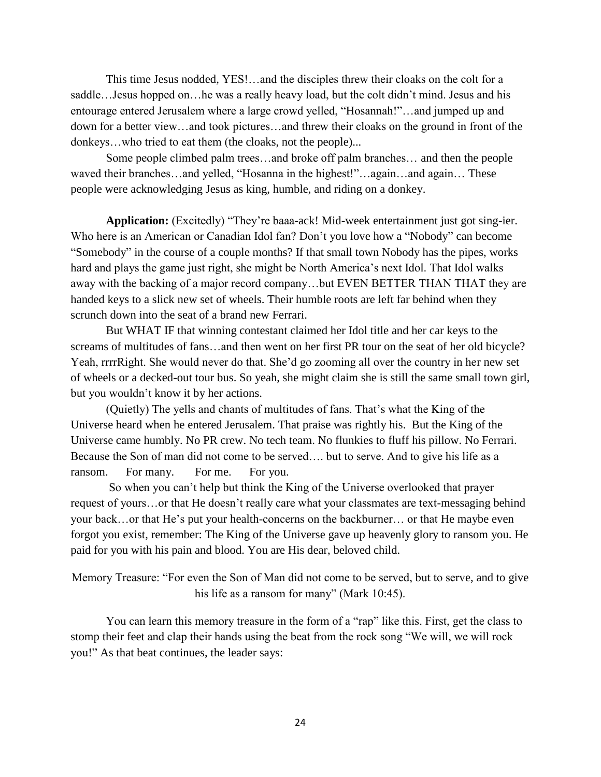This time Jesus nodded, YES!…and the disciples threw their cloaks on the colt for a saddle…Jesus hopped on…he was a really heavy load, but the colt didn't mind. Jesus and his entourage entered Jerusalem where a large crowd yelled, "Hosannah!"…and jumped up and down for a better view…and took pictures…and threw their cloaks on the ground in front of the donkeys…who tried to eat them (the cloaks, not the people)...

Some people climbed palm trees…and broke off palm branches… and then the people waved their branches…and yelled, "Hosanna in the highest!"…again…and again… These people were acknowledging Jesus as king, humble, and riding on a donkey.

**Application:** (Excitedly) "They're baaa-ack! Mid-week entertainment just got sing-ier. Who here is an American or Canadian Idol fan? Don't you love how a "Nobody" can become "Somebody" in the course of a couple months? If that small town Nobody has the pipes, works hard and plays the game just right, she might be North America's next Idol. That Idol walks away with the backing of a major record company…but EVEN BETTER THAN THAT they are handed keys to a slick new set of wheels. Their humble roots are left far behind when they scrunch down into the seat of a brand new Ferrari.

But WHAT IF that winning contestant claimed her Idol title and her car keys to the screams of multitudes of fans…and then went on her first PR tour on the seat of her old bicycle? Yeah, rrrrRight. She would never do that. She'd go zooming all over the country in her new set of wheels or a decked-out tour bus. So yeah, she might claim she is still the same small town girl, but you wouldn't know it by her actions.

(Quietly) The yells and chants of multitudes of fans. That's what the King of the Universe heard when he entered Jerusalem. That praise was rightly his. But the King of the Universe came humbly. No PR crew. No tech team. No flunkies to fluff his pillow. No Ferrari. Because the Son of man did not come to be served…. but to serve. And to give his life as a ransom. For many. For me. For you.

So when you can't help but think the King of the Universe overlooked that prayer request of yours…or that He doesn't really care what your classmates are text-messaging behind your back…or that He's put your health-concerns on the backburner… or that He maybe even forgot you exist, remember: The King of the Universe gave up heavenly glory to ransom you. He paid for you with his pain and blood. You are His dear, beloved child.

Memory Treasure: "For even the Son of Man did not come to be served, but to serve, and to give his life as a ransom for many" (Mark 10:45).

You can learn this memory treasure in the form of a "rap" like this. First, get the class to stomp their feet and clap their hands using the beat from the rock song "We will, we will rock you!" As that beat continues, the leader says: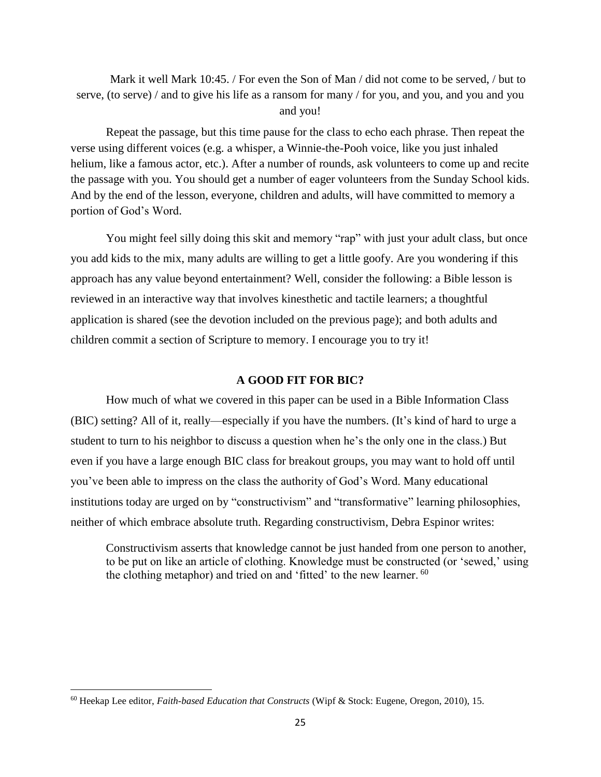Mark it well Mark 10:45. / For even the Son of Man / did not come to be served, / but to serve, (to serve) / and to give his life as a ransom for many / for you, and you, and you and you and you!

Repeat the passage, but this time pause for the class to echo each phrase. Then repeat the verse using different voices (e.g. a whisper, a Winnie-the-Pooh voice, like you just inhaled helium, like a famous actor, etc.). After a number of rounds, ask volunteers to come up and recite the passage with you. You should get a number of eager volunteers from the Sunday School kids. And by the end of the lesson, everyone, children and adults, will have committed to memory a portion of God's Word.

You might feel silly doing this skit and memory "rap" with just your adult class, but once you add kids to the mix, many adults are willing to get a little goofy. Are you wondering if this approach has any value beyond entertainment? Well, consider the following: a Bible lesson is reviewed in an interactive way that involves kinesthetic and tactile learners; a thoughtful application is shared (see the devotion included on the previous page); and both adults and children commit a section of Scripture to memory. I encourage you to try it!

## **A GOOD FIT FOR BIC?**

How much of what we covered in this paper can be used in a Bible Information Class (BIC) setting? All of it, really—especially if you have the numbers. (It's kind of hard to urge a student to turn to his neighbor to discuss a question when he's the only one in the class.) But even if you have a large enough BIC class for breakout groups, you may want to hold off until you've been able to impress on the class the authority of God's Word. Many educational institutions today are urged on by "constructivism" and "transformative" learning philosophies, neither of which embrace absolute truth. Regarding constructivism, Debra Espinor writes:

Constructivism asserts that knowledge cannot be just handed from one person to another, to be put on like an article of clothing. Knowledge must be constructed (or 'sewed,' using the clothing metaphor) and tried on and 'fitted' to the new learner. <sup>60</sup>

<sup>60</sup> Heekap Lee editor, *Faith-based Education that Constructs* (Wipf & Stock: Eugene, Oregon, 2010), 15.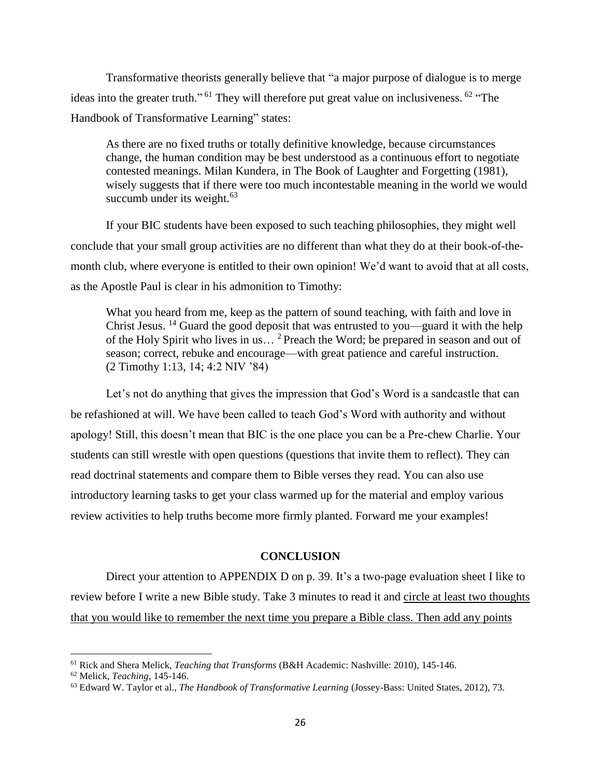Transformative theorists generally believe that "a major purpose of dialogue is to merge ideas into the greater truth."<sup>61</sup> They will therefore put great value on inclusiveness.<sup>62</sup> "The Handbook of Transformative Learning" states:

As there are no fixed truths or totally definitive knowledge, because circumstances change, the human condition may be best understood as a continuous effort to negotiate contested meanings. Milan Kundera, in The Book of Laughter and Forgetting (1981), wisely suggests that if there were too much incontestable meaning in the world we would succumb under its weight. $63$ 

If your BIC students have been exposed to such teaching philosophies, they might well conclude that your small group activities are no different than what they do at their book-of-themonth club, where everyone is entitled to their own opinion! We'd want to avoid that at all costs, as the Apostle Paul is clear in his admonition to Timothy:

What you heard from me, keep as the pattern of sound teaching, with faith and love in Christ Jesus. <sup>14</sup> Guard the good deposit that was entrusted to you—guard it with the help of the Holy Spirit who lives in us... <sup>2</sup> Preach the Word; be prepared in season and out of season; correct, rebuke and encourage—with great patience and careful instruction. (2 Timothy 1:13, 14; 4:2 NIV '84)

Let's not do anything that gives the impression that God's Word is a sandcastle that can be refashioned at will. We have been called to teach God's Word with authority and without apology! Still, this doesn't mean that BIC is the one place you can be a Pre-chew Charlie. Your students can still wrestle with open questions (questions that invite them to reflect). They can read doctrinal statements and compare them to Bible verses they read. You can also use introductory learning tasks to get your class warmed up for the material and employ various review activities to help truths become more firmly planted. Forward me your examples!

#### **CONCLUSION**

Direct your attention to APPENDIX D on p. 39. It's a two-page evaluation sheet I like to review before I write a new Bible study. Take 3 minutes to read it and circle at least two thoughts that you would like to remember the next time you prepare a Bible class. Then add any points

<sup>61</sup> Rick and Shera Melick, *Teaching that Transforms* (B&H Academic: Nashville: 2010), 145-146.

<sup>62</sup> Melick, *Teaching*, 145-146.

<sup>63</sup> Edward W. Taylor et al., *The Handbook of Transformative Learning* (Jossey-Bass: United States, 2012), 73.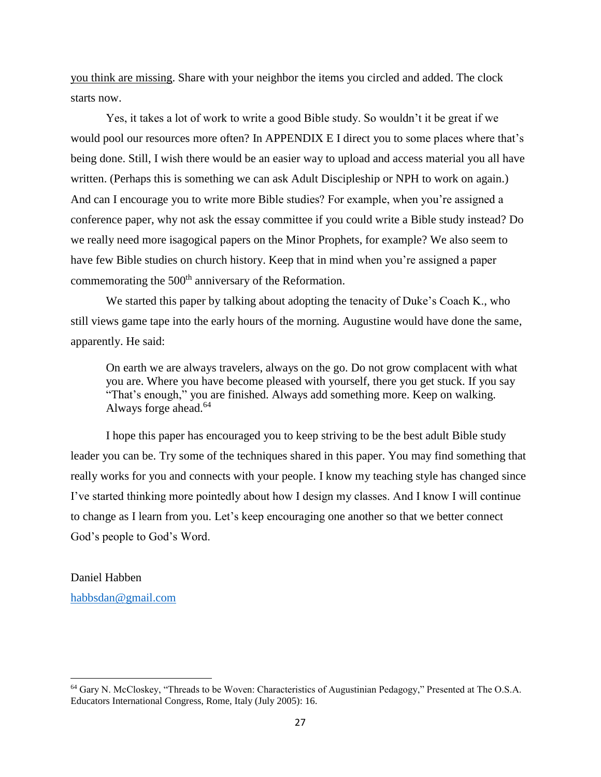you think are missing. Share with your neighbor the items you circled and added. The clock starts now.

Yes, it takes a lot of work to write a good Bible study. So wouldn't it be great if we would pool our resources more often? In APPENDIX E I direct you to some places where that's being done. Still, I wish there would be an easier way to upload and access material you all have written. (Perhaps this is something we can ask Adult Discipleship or NPH to work on again.) And can I encourage you to write more Bible studies? For example, when you're assigned a conference paper, why not ask the essay committee if you could write a Bible study instead? Do we really need more isagogical papers on the Minor Prophets, for example? We also seem to have few Bible studies on church history. Keep that in mind when you're assigned a paper commemorating the 500<sup>th</sup> anniversary of the Reformation.

We started this paper by talking about adopting the tenacity of Duke's Coach K., who still views game tape into the early hours of the morning. Augustine would have done the same, apparently. He said:

On earth we are always travelers, always on the go. Do not grow complacent with what you are. Where you have become pleased with yourself, there you get stuck. If you say "That's enough," you are finished. Always add something more. Keep on walking. Always forge ahead.<sup>64</sup>

I hope this paper has encouraged you to keep striving to be the best adult Bible study leader you can be. Try some of the techniques shared in this paper. You may find something that really works for you and connects with your people. I know my teaching style has changed since I've started thinking more pointedly about how I design my classes. And I know I will continue to change as I learn from you. Let's keep encouraging one another so that we better connect God's people to God's Word.

Daniel Habben [habbsdan@gmail.com](mailto:habbsdan@gmail.com)

<sup>64</sup> Gary N. McCloskey, "Threads to be Woven: Characteristics of Augustinian Pedagogy," Presented at The O.S.A. Educators International Congress, Rome, Italy (July 2005): 16.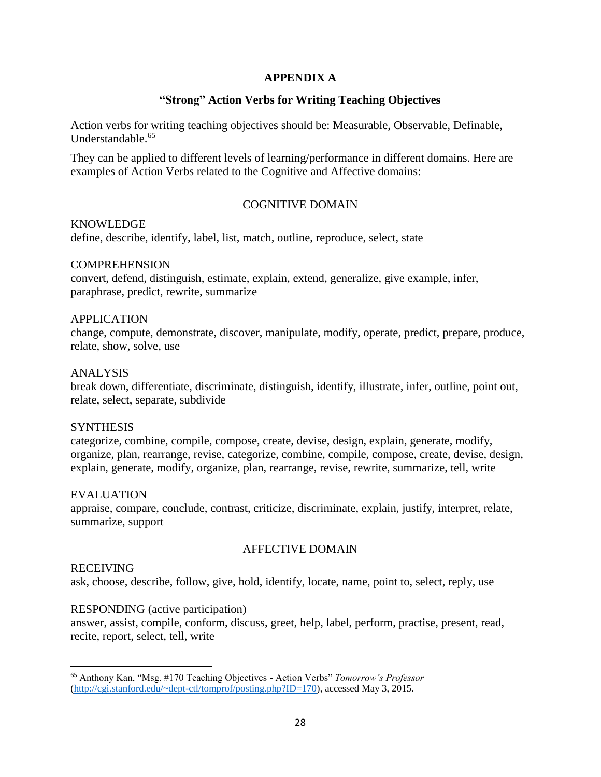## **APPENDIX A**

## **"Strong" Action Verbs for Writing Teaching Objectives**

Action verbs for writing teaching objectives should be: Measurable, Observable, Definable, Understandable.<sup>65</sup>

They can be applied to different levels of learning/performance in different domains. Here are examples of Action Verbs related to the Cognitive and Affective domains:

## COGNITIVE DOMAIN

## KNOWLEDGE

define, describe, identify, label, list, match, outline, reproduce, select, state

#### **COMPREHENSION**

convert, defend, distinguish, estimate, explain, extend, generalize, give example, infer, paraphrase, predict, rewrite, summarize

## APPLICATION

change, compute, demonstrate, discover, manipulate, modify, operate, predict, prepare, produce, relate, show, solve, use

#### ANALYSIS

break down, differentiate, discriminate, distinguish, identify, illustrate, infer, outline, point out, relate, select, separate, subdivide

#### **SYNTHESIS**

categorize, combine, compile, compose, create, devise, design, explain, generate, modify, organize, plan, rearrange, revise, categorize, combine, compile, compose, create, devise, design, explain, generate, modify, organize, plan, rearrange, revise, rewrite, summarize, tell, write

#### EVALUATION

appraise, compare, conclude, contrast, criticize, discriminate, explain, justify, interpret, relate, summarize, support

## AFFECTIVE DOMAIN

## RECEIVING

ask, choose, describe, follow, give, hold, identify, locate, name, point to, select, reply, use

#### RESPONDING (active participation)

answer, assist, compile, conform, discuss, greet, help, label, perform, practise, present, read, recite, report, select, tell, write

 $\overline{\phantom{a}}$ <sup>65</sup> Anthony Kan, "Msg. #170 Teaching Objectives - Action Verbs" *Tomorrow's Professor* [\(http://cgi.stanford.edu/~dept-ctl/tomprof/posting.php?ID=170\)](http://cgi.stanford.edu/~dept-ctl/tomprof/posting.php?ID=170), accessed May 3, 2015.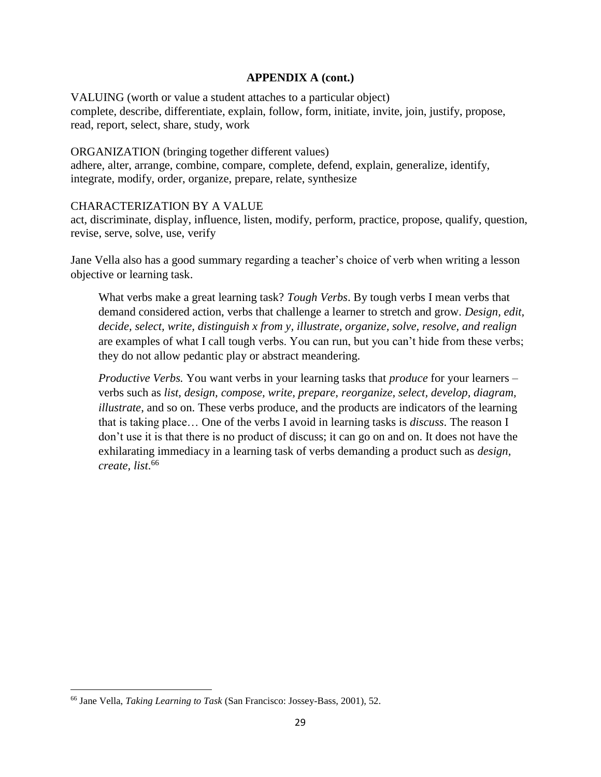VALUING (worth or value a student attaches to a particular object) complete, describe, differentiate, explain, follow, form, initiate, invite, join, justify, propose, read, report, select, share, study, work

## ORGANIZATION (bringing together different values)

adhere, alter, arrange, combine, compare, complete, defend, explain, generalize, identify, integrate, modify, order, organize, prepare, relate, synthesize

## CHARACTERIZATION BY A VALUE

act, discriminate, display, influence, listen, modify, perform, practice, propose, qualify, question, revise, serve, solve, use, verify

Jane Vella also has a good summary regarding a teacher's choice of verb when writing a lesson objective or learning task.

What verbs make a great learning task? *Tough Verbs*. By tough verbs I mean verbs that demand considered action, verbs that challenge a learner to stretch and grow. *Design, edit, decide, select, write, distinguish x from y, illustrate, organize, solve, resolve, and realign* are examples of what I call tough verbs. You can run, but you can't hide from these verbs; they do not allow pedantic play or abstract meandering.

*Productive Verbs.* You want verbs in your learning tasks that *produce* for your learners – verbs such as *list, design, compose, write, prepare, reorganize, select, develop, diagram, illustrate*, and so on. These verbs produce, and the products are indicators of the learning that is taking place… One of the verbs I avoid in learning tasks is *discuss*. The reason I don't use it is that there is no product of discuss; it can go on and on. It does not have the exhilarating immediacy in a learning task of verbs demanding a product such as *design, create, list*. 66

<sup>66</sup> Jane Vella, *Taking Learning to Task* (San Francisco: Jossey-Bass, 2001), 52.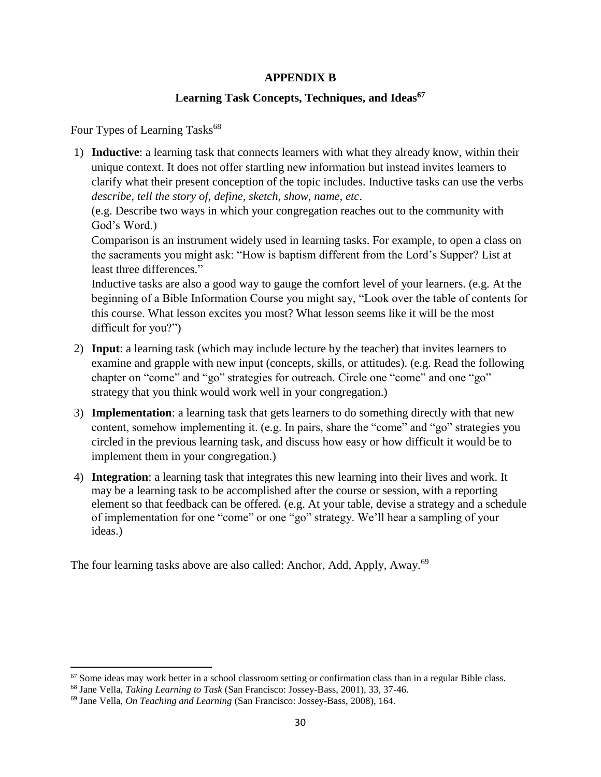## **APPENDIX B**

## **Learning Task Concepts, Techniques, and Ideas<sup>67</sup>**

Four Types of Learning Tasks<sup>68</sup>

1) **Inductive**: a learning task that connects learners with what they already know, within their unique context. It does not offer startling new information but instead invites learners to clarify what their present conception of the topic includes. Inductive tasks can use the verbs *describe, tell the story of, define, sketch, show, name, etc*.

(e.g. Describe two ways in which your congregation reaches out to the community with God's Word.)

Comparison is an instrument widely used in learning tasks. For example, to open a class on the sacraments you might ask: "How is baptism different from the Lord's Supper? List at least three differences."

Inductive tasks are also a good way to gauge the comfort level of your learners. (e.g. At the beginning of a Bible Information Course you might say, "Look over the table of contents for this course. What lesson excites you most? What lesson seems like it will be the most difficult for you?")

- 2) **Input**: a learning task (which may include lecture by the teacher) that invites learners to examine and grapple with new input (concepts, skills, or attitudes). (e.g. Read the following chapter on "come" and "go" strategies for outreach. Circle one "come" and one "go" strategy that you think would work well in your congregation.)
- 3) **Implementation**: a learning task that gets learners to do something directly with that new content, somehow implementing it. (e.g. In pairs, share the "come" and "go" strategies you circled in the previous learning task, and discuss how easy or how difficult it would be to implement them in your congregation.)
- 4) **Integration**: a learning task that integrates this new learning into their lives and work. It may be a learning task to be accomplished after the course or session, with a reporting element so that feedback can be offered. (e.g. At your table, devise a strategy and a schedule of implementation for one "come" or one "go" strategy. We'll hear a sampling of your ideas.)

The four learning tasks above are also called: Anchor, Add, Apply, Away.<sup>69</sup>

 $\overline{\phantom{a}}$  $67$  Some ideas may work better in a school classroom setting or confirmation class than in a regular Bible class.

<sup>68</sup> Jane Vella, *Taking Learning to Task* (San Francisco: Jossey-Bass, 2001), 33, 37-46.

<sup>69</sup> Jane Vella, *On Teaching and Learning* (San Francisco: Jossey-Bass, 2008), 164.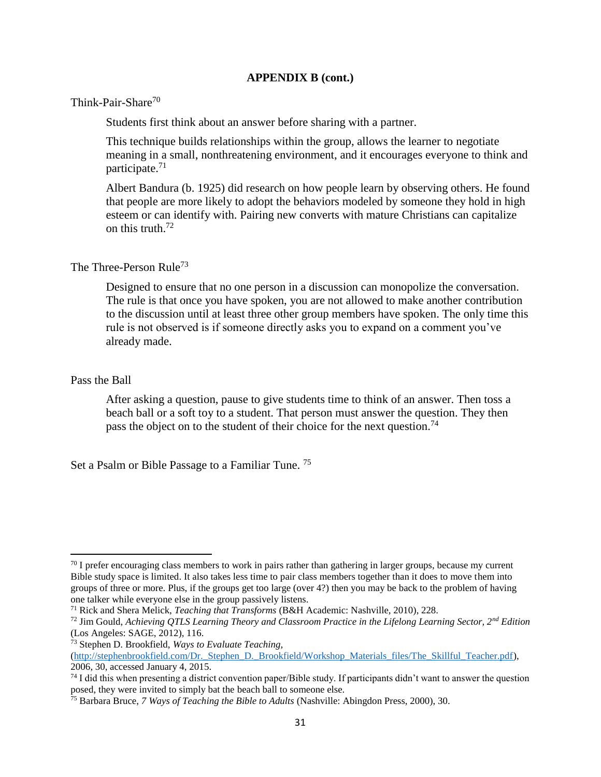Think-Pair-Share<sup>70</sup>

Students first think about an answer before sharing with a partner.

This technique builds relationships within the group, allows the learner to negotiate meaning in a small, nonthreatening environment, and it encourages everyone to think and participate.<sup>71</sup>

Albert Bandura (b. 1925) did research on how people learn by observing others. He found that people are more likely to adopt the behaviors modeled by someone they hold in high esteem or can identify with. Pairing new converts with mature Christians can capitalize on this truth. $72$ 

## The Three-Person Rule<sup>73</sup>

Designed to ensure that no one person in a discussion can monopolize the conversation. The rule is that once you have spoken, you are not allowed to make another contribution to the discussion until at least three other group members have spoken. The only time this rule is not observed is if someone directly asks you to expand on a comment you've already made.

## Pass the Ball

 $\overline{\phantom{a}}$ 

After asking a question, pause to give students time to think of an answer. Then toss a beach ball or a soft toy to a student. That person must answer the question. They then pass the object on to the student of their choice for the next question.<sup>74</sup>

Set a Psalm or Bible Passage to a Familiar Tune. <sup>75</sup>

 $70$  I prefer encouraging class members to work in pairs rather than gathering in larger groups, because my current Bible study space is limited. It also takes less time to pair class members together than it does to move them into groups of three or more. Plus, if the groups get too large (over 4?) then you may be back to the problem of having one talker while everyone else in the group passively listens.

<sup>71</sup> Rick and Shera Melick, *Teaching that Transforms* (B&H Academic: Nashville, 2010), 228.

<sup>72</sup> Jim Gould, *Achieving QTLS Learning Theory and Classroom Practice in the Lifelong Learning Sector, 2nd Edition*  (Los Angeles: SAGE, 2012), 116.

<sup>73</sup> Stephen D. Brookfield, *Ways to Evaluate Teaching,*

[<sup>\(</sup>http://stephenbrookfield.com/Dr.\\_Stephen\\_D.\\_Brookfield/Workshop\\_Materials\\_files/The\\_Skillful\\_Teacher.pdf\)](http://stephenbrookfield.com/Dr._Stephen_D._Brookfield/Workshop_Materials_files/The_Skillful_Teacher.pdf), 2006, 30, accessed January 4, 2015.

<sup>&</sup>lt;sup>74</sup> I did this when presenting a district convention paper/Bible study. If participants didn't want to answer the question posed, they were invited to simply bat the beach ball to someone else.

<sup>75</sup> Barbara Bruce, *7 Ways of Teaching the Bible to Adults* (Nashville: Abingdon Press, 2000), 30.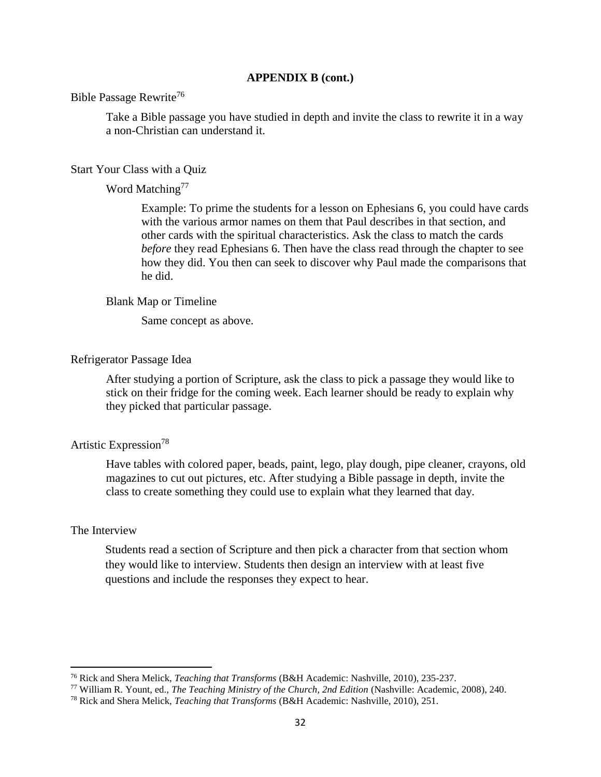## Bible Passage Rewrite<sup>76</sup>

Take a Bible passage you have studied in depth and invite the class to rewrite it in a way a non-Christian can understand it.

#### Start Your Class with a Quiz

#### Word Matching<sup>77</sup>

Example: To prime the students for a lesson on Ephesians 6, you could have cards with the various armor names on them that Paul describes in that section, and other cards with the spiritual characteristics. Ask the class to match the cards *before* they read Ephesians 6. Then have the class read through the chapter to see how they did. You then can seek to discover why Paul made the comparisons that he did.

#### Blank Map or Timeline

Same concept as above.

#### Refrigerator Passage Idea

After studying a portion of Scripture, ask the class to pick a passage they would like to stick on their fridge for the coming week. Each learner should be ready to explain why they picked that particular passage.

## Artistic Expression<sup>78</sup>

Have tables with colored paper, beads, paint, lego, play dough, pipe cleaner, crayons, old magazines to cut out pictures, etc. After studying a Bible passage in depth, invite the class to create something they could use to explain what they learned that day.

### The Interview

 $\overline{\phantom{a}}$ 

Students read a section of Scripture and then pick a character from that section whom they would like to interview. Students then design an interview with at least five questions and include the responses they expect to hear.

<sup>76</sup> Rick and Shera Melick, *Teaching that Transforms* (B&H Academic: Nashville, 2010), 235-237.

<sup>77</sup> William R. Yount, ed., *The Teaching Ministry of the Church, 2nd Edition* (Nashville: Academic, 2008), 240.

<sup>78</sup> Rick and Shera Melick, *Teaching that Transforms* (B&H Academic: Nashville, 2010), 251.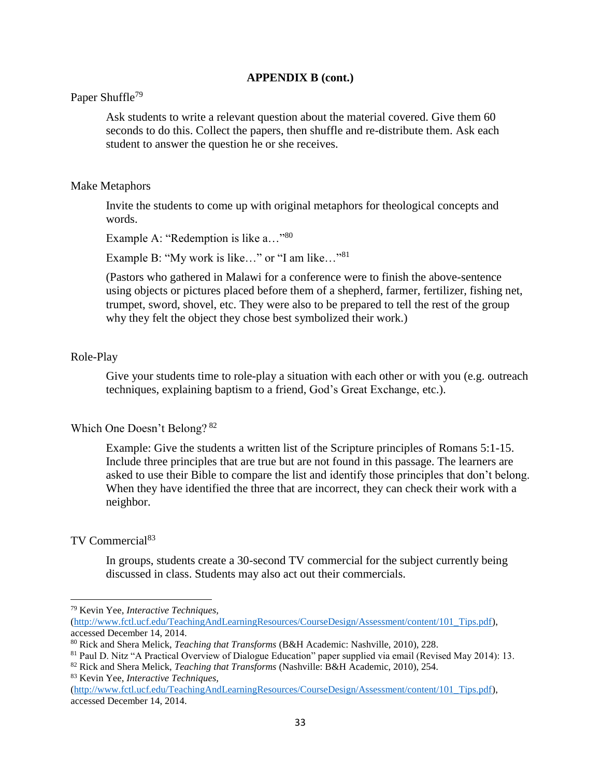## Paper Shuffle<sup>79</sup>

Ask students to write a relevant question about the material covered. Give them 60 seconds to do this. Collect the papers, then shuffle and re-distribute them. Ask each student to answer the question he or she receives.

#### Make Metaphors

Invite the students to come up with original metaphors for theological concepts and words.

Example A: "Redemption is like a..."<sup>80</sup>

Example B: "My work is like..." or "I am like..."<sup>81</sup>

(Pastors who gathered in Malawi for a conference were to finish the above-sentence using objects or pictures placed before them of a shepherd, farmer, fertilizer, fishing net, trumpet, sword, shovel, etc. They were also to be prepared to tell the rest of the group why they felt the object they chose best symbolized their work.)

#### Role-Play

Give your students time to role-play a situation with each other or with you (e.g. outreach techniques, explaining baptism to a friend, God's Great Exchange, etc.).

#### Which One Doesn't Belong? <sup>82</sup>

Example: Give the students a written list of the Scripture principles of Romans 5:1-15. Include three principles that are true but are not found in this passage. The learners are asked to use their Bible to compare the list and identify those principles that don't belong. When they have identified the three that are incorrect, they can check their work with a neighbor.

## TV Commercial<sup>83</sup>

 $\overline{\phantom{a}}$ 

In groups, students create a 30-second TV commercial for the subject currently being discussed in class. Students may also act out their commercials.

<sup>79</sup> Kevin Yee, *Interactive Techniques,* 

[<sup>\(</sup>http://www.fctl.ucf.edu/TeachingAndLearningResources/CourseDesign/Assessment/content/101\\_Tips.pdf\)](http://www.fctl.ucf.edu/TeachingAndLearningResources/CourseDesign/Assessment/content/101_Tips.pdf), accessed December 14, 2014.

<sup>80</sup> Rick and Shera Melick, *Teaching that Transforms* (B&H Academic: Nashville, 2010), 228.

<sup>81</sup> Paul D. Nitz "A Practical Overview of Dialogue Education" paper supplied via email (Revised May 2014): 13.

<sup>82</sup> Rick and Shera Melick, *Teaching that Transforms* (Nashville: B&H Academic, 2010), 254.

<sup>83</sup> Kevin Yee, *Interactive Techniques,* 

[<sup>\(</sup>http://www.fctl.ucf.edu/TeachingAndLearningResources/CourseDesign/Assessment/content/101\\_Tips.pdf\)](http://www.fctl.ucf.edu/TeachingAndLearningResources/CourseDesign/Assessment/content/101_Tips.pdf), accessed December 14, 2014.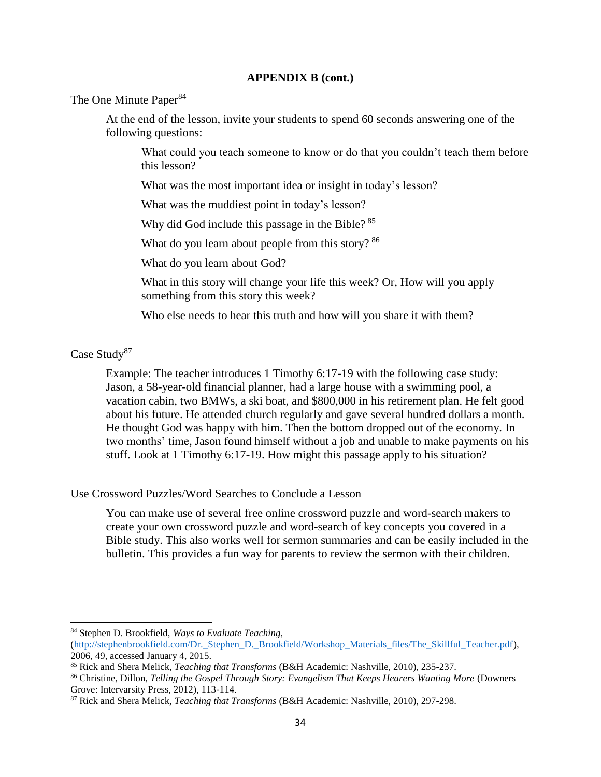The One Minute Paper<sup>84</sup>

At the end of the lesson, invite your students to spend 60 seconds answering one of the following questions:

What could you teach someone to know or do that you couldn't teach them before this lesson?

What was the most important idea or insight in today's lesson?

What was the muddiest point in today's lesson?

Why did God include this passage in the Bible? <sup>85</sup>

What do you learn about people from this story? <sup>86</sup>

What do you learn about God?

What in this story will change your life this week? Or, How will you apply something from this story this week?

Who else needs to hear this truth and how will you share it with them?

Case Study<sup>87</sup>

 $\overline{\phantom{a}}$ 

Example: The teacher introduces 1 Timothy 6:17-19 with the following case study: Jason, a 58-year-old financial planner, had a large house with a swimming pool, a vacation cabin, two BMWs, a ski boat, and \$800,000 in his retirement plan. He felt good about his future. He attended church regularly and gave several hundred dollars a month. He thought God was happy with him. Then the bottom dropped out of the economy. In two months' time, Jason found himself without a job and unable to make payments on his stuff. Look at 1 Timothy 6:17-19. How might this passage apply to his situation?

Use Crossword Puzzles/Word Searches to Conclude a Lesson

You can make use of several free online crossword puzzle and word-search makers to create your own crossword puzzle and word-search of key concepts you covered in a Bible study. This also works well for sermon summaries and can be easily included in the bulletin. This provides a fun way for parents to review the sermon with their children.

<sup>84</sup> Stephen D. Brookfield, *Ways to Evaluate Teaching,*

[<sup>\(</sup>http://stephenbrookfield.com/Dr.\\_Stephen\\_D.\\_Brookfield/Workshop\\_Materials\\_files/The\\_Skillful\\_Teacher.pdf\)](http://stephenbrookfield.com/Dr._Stephen_D._Brookfield/Workshop_Materials_files/The_Skillful_Teacher.pdf), 2006, 49, accessed January 4, 2015.

<sup>85</sup> Rick and Shera Melick, *Teaching that Transforms* (B&H Academic: Nashville, 2010), 235-237.

<sup>86</sup> Christine, Dillon, *Telling the Gospel Through Story: Evangelism That Keeps Hearers Wanting More* (Downers Grove: Intervarsity Press, 2012), 113-114.

<sup>87</sup> Rick and Shera Melick, *Teaching that Transforms* (B&H Academic: Nashville, 2010), 297-298.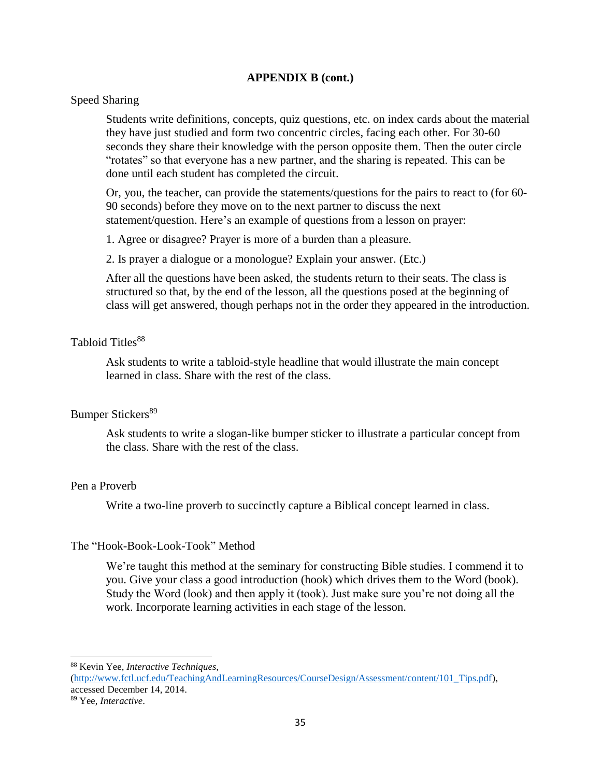## Speed Sharing

Students write definitions, concepts, quiz questions, etc. on index cards about the material they have just studied and form two concentric circles, facing each other. For 30-60 seconds they share their knowledge with the person opposite them. Then the outer circle "rotates" so that everyone has a new partner, and the sharing is repeated. This can be done until each student has completed the circuit.

Or, you, the teacher, can provide the statements/questions for the pairs to react to (for 60- 90 seconds) before they move on to the next partner to discuss the next statement/question. Here's an example of questions from a lesson on prayer:

1. Agree or disagree? Prayer is more of a burden than a pleasure.

2. Is prayer a dialogue or a monologue? Explain your answer. (Etc.)

After all the questions have been asked, the students return to their seats. The class is structured so that, by the end of the lesson, all the questions posed at the beginning of class will get answered, though perhaps not in the order they appeared in the introduction.

## Tabloid Titles<sup>88</sup>

Ask students to write a tabloid-style headline that would illustrate the main concept learned in class. Share with the rest of the class.

#### Bumper Stickers<sup>89</sup>

Ask students to write a slogan-like bumper sticker to illustrate a particular concept from the class. Share with the rest of the class.

#### Pen a Proverb

Write a two-line proverb to succinctly capture a Biblical concept learned in class.

#### The "Hook-Book-Look-Took" Method

We're taught this method at the seminary for constructing Bible studies. I commend it to you. Give your class a good introduction (hook) which drives them to the Word (book). Study the Word (look) and then apply it (took). Just make sure you're not doing all the work. Incorporate learning activities in each stage of the lesson.

<sup>88</sup> Kevin Yee, *Interactive Techniques,* 

[<sup>\(</sup>http://www.fctl.ucf.edu/TeachingAndLearningResources/CourseDesign/Assessment/content/101\\_Tips.pdf\)](http://www.fctl.ucf.edu/TeachingAndLearningResources/CourseDesign/Assessment/content/101_Tips.pdf), accessed December 14, 2014.

<sup>89</sup> Yee, *Interactive*.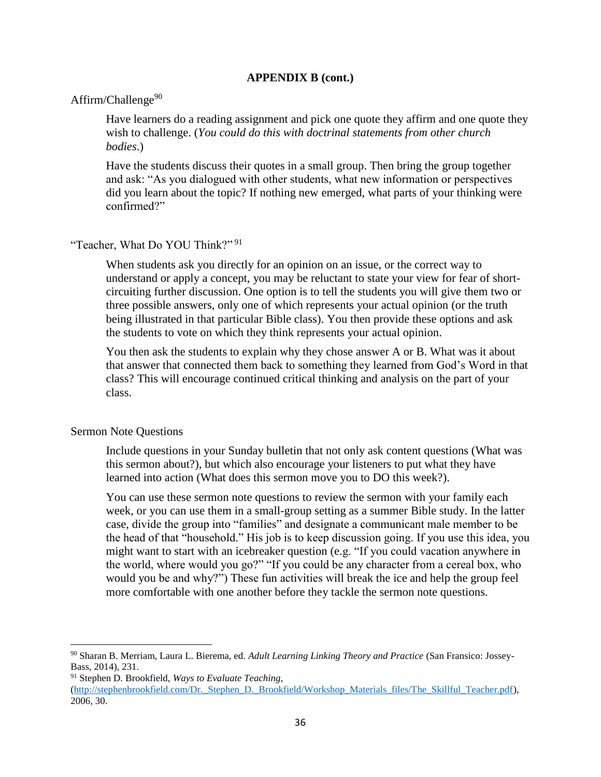#### Affirm/Challenge $90$

Have learners do a reading assignment and pick one quote they affirm and one quote they wish to challenge. (*You could do this with doctrinal statements from other church bodies*.)

Have the students discuss their quotes in a small group. Then bring the group together and ask: "As you dialogued with other students, what new information or perspectives did you learn about the topic? If nothing new emerged, what parts of your thinking were confirmed?"

## "Teacher, What Do YOU Think?" <sup>91</sup>

When students ask you directly for an opinion on an issue, or the correct way to understand or apply a concept, you may be reluctant to state your view for fear of shortcircuiting further discussion. One option is to tell the students you will give them two or three possible answers, only one of which represents your actual opinion (or the truth being illustrated in that particular Bible class). You then provide these options and ask the students to vote on which they think represents your actual opinion.

You then ask the students to explain why they chose answer A or B. What was it about that answer that connected them back to something they learned from God's Word in that class? This will encourage continued critical thinking and analysis on the part of your class.

#### Sermon Note Questions

 $\overline{a}$ 

Include questions in your Sunday bulletin that not only ask content questions (What was this sermon about?), but which also encourage your listeners to put what they have learned into action (What does this sermon move you to DO this week?).

You can use these sermon note questions to review the sermon with your family each week, or you can use them in a small-group setting as a summer Bible study. In the latter case, divide the group into "families" and designate a communicant male member to be the head of that "household." His job is to keep discussion going. If you use this idea, you might want to start with an icebreaker question (e.g. "If you could vacation anywhere in the world, where would you go?" "If you could be any character from a cereal box, who would you be and why?") These fun activities will break the ice and help the group feel more comfortable with one another before they tackle the sermon note questions.

<sup>90</sup> Sharan B. Merriam, Laura L. Bierema, ed. *Adult Learning Linking Theory and Practice* (San Fransico: Jossey-Bass, 2014), 231.

<sup>91</sup> Stephen D. Brookfield, *Ways to Evaluate Teaching,* (http://stephenbrookfield.com/Dr. Stephen D. Brookfield/Workshop Materials files/The Skillful Teacher.pdf), 2006, 30.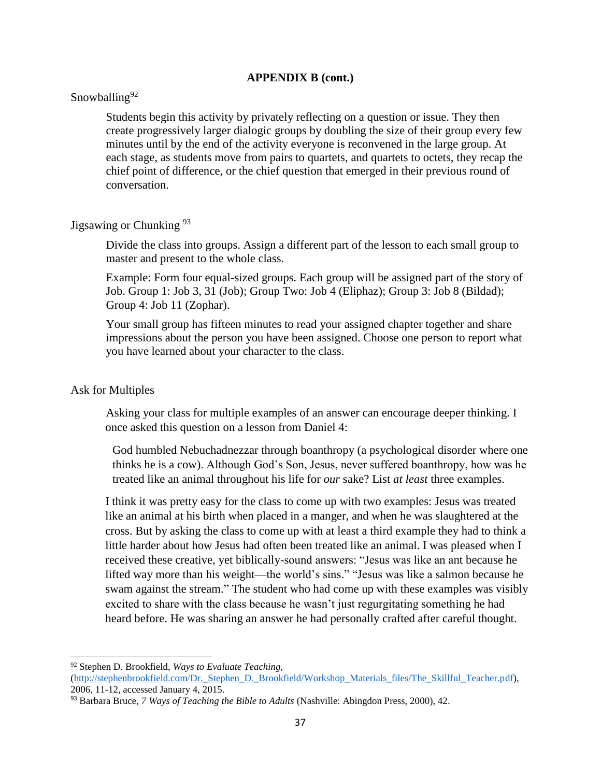## Snowballing<sup>92</sup>

Students begin this activity by privately reflecting on a question or issue. They then create progressively larger dialogic groups by doubling the size of their group every few minutes until by the end of the activity everyone is reconvened in the large group. At each stage, as students move from pairs to quartets, and quartets to octets, they recap the chief point of difference, or the chief question that emerged in their previous round of conversation.

## Jigsawing or Chunking <sup>93</sup>

Divide the class into groups. Assign a different part of the lesson to each small group to master and present to the whole class.

Example: Form four equal-sized groups. Each group will be assigned part of the story of Job. Group 1: Job 3, 31 (Job); Group Two: Job 4 (Eliphaz); Group 3: Job 8 (Bildad); Group 4: Job 11 (Zophar).

Your small group has fifteen minutes to read your assigned chapter together and share impressions about the person you have been assigned. Choose one person to report what you have learned about your character to the class.

#### Ask for Multiples

 $\overline{\phantom{a}}$ 

Asking your class for multiple examples of an answer can encourage deeper thinking. I once asked this question on a lesson from Daniel 4:

God humbled Nebuchadnezzar through boanthropy (a psychological disorder where one thinks he is a cow). Although God's Son, Jesus, never suffered boanthropy, how was he treated like an animal throughout his life for *our* sake? List *at least* three examples.

I think it was pretty easy for the class to come up with two examples: Jesus was treated like an animal at his birth when placed in a manger, and when he was slaughtered at the cross. But by asking the class to come up with at least a third example they had to think a little harder about how Jesus had often been treated like an animal. I was pleased when I received these creative, yet biblically-sound answers: "Jesus was like an ant because he lifted way more than his weight—the world's sins." "Jesus was like a salmon because he swam against the stream." The student who had come up with these examples was visibly excited to share with the class because he wasn't just regurgitating something he had heard before. He was sharing an answer he had personally crafted after careful thought.

<sup>92</sup> Stephen D. Brookfield, *Ways to Evaluate Teaching,*

[<sup>\(</sup>http://stephenbrookfield.com/Dr.\\_Stephen\\_D.\\_Brookfield/Workshop\\_Materials\\_files/The\\_Skillful\\_Teacher.pdf\)](http://stephenbrookfield.com/Dr._Stephen_D._Brookfield/Workshop_Materials_files/The_Skillful_Teacher.pdf), 2006, 11-12, accessed January 4, 2015.

<sup>93</sup> Barbara Bruce, *7 Ways of Teaching the Bible to Adults* (Nashville: Abingdon Press, 2000), 42.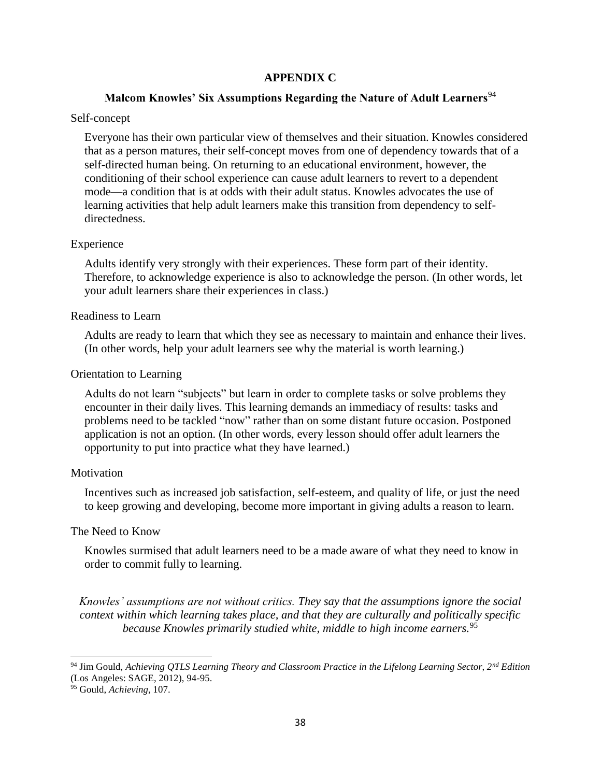## **APPENDIX C**

## **Malcom Knowles' Six Assumptions Regarding the Nature of Adult Learners**<sup>94</sup>

#### Self-concept

Everyone has their own particular view of themselves and their situation. Knowles considered that as a person matures, their self-concept moves from one of dependency towards that of a self-directed human being. On returning to an educational environment, however, the conditioning of their school experience can cause adult learners to revert to a dependent mode—a condition that is at odds with their adult status. Knowles advocates the use of learning activities that help adult learners make this transition from dependency to selfdirectedness.

#### Experience

Adults identify very strongly with their experiences. These form part of their identity. Therefore, to acknowledge experience is also to acknowledge the person. (In other words, let your adult learners share their experiences in class.)

#### Readiness to Learn

Adults are ready to learn that which they see as necessary to maintain and enhance their lives. (In other words, help your adult learners see why the material is worth learning.)

#### Orientation to Learning

Adults do not learn "subjects" but learn in order to complete tasks or solve problems they encounter in their daily lives. This learning demands an immediacy of results: tasks and problems need to be tackled "now" rather than on some distant future occasion. Postponed application is not an option. (In other words, every lesson should offer adult learners the opportunity to put into practice what they have learned.)

#### Motivation

Incentives such as increased job satisfaction, self-esteem, and quality of life, or just the need to keep growing and developing, become more important in giving adults a reason to learn.

#### The Need to Know

Knowles surmised that adult learners need to be a made aware of what they need to know in order to commit fully to learning.

*Knowles' assumptions are not without critics. They say that the assumptions ignore the social context within which learning takes place, and that they are culturally and politically specific because Knowles primarily studied white, middle to high income earners.*<sup>95</sup>

<sup>94</sup> Jim Gould, *Achieving QTLS Learning Theory and Classroom Practice in the Lifelong Learning Sector, 2nd Edition*  (Los Angeles: SAGE, 2012), 94-95.

<sup>95</sup> Gould, *Achieving*, 107.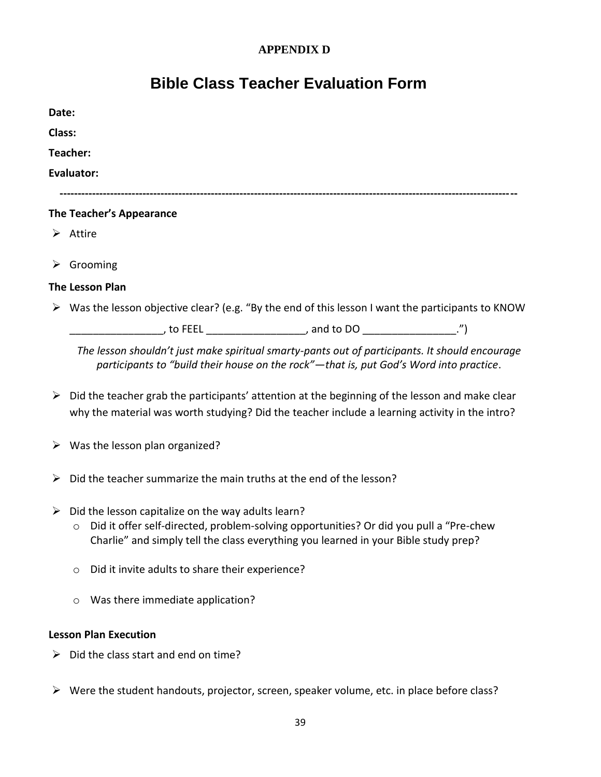## **APPENDIX D**

## **Bible Class Teacher Evaluation Form**

| Date:  |                                                                                                                   |                                                                                        |  |
|--------|-------------------------------------------------------------------------------------------------------------------|----------------------------------------------------------------------------------------|--|
| Class: |                                                                                                                   |                                                                                        |  |
|        | Teacher:                                                                                                          |                                                                                        |  |
|        | Evaluator:                                                                                                        |                                                                                        |  |
|        | The Teacher's Appearance                                                                                          |                                                                                        |  |
|        | $\triangleright$ Attire                                                                                           |                                                                                        |  |
|        | $\triangleright$ Grooming                                                                                         |                                                                                        |  |
|        | <b>The Lesson Plan</b>                                                                                            |                                                                                        |  |
|        | $\triangleright$ Was the lesson objective clear? (e.g. "By the end of this lesson I want the participants to KNOW |                                                                                        |  |
|        |                                                                                                                   |                                                                                        |  |
|        | The lesson shouldn't just make spiritual smarty-pants out of participants. It should encourage                    | participants to "build their house on the rock"—that is, put God's Word into practice. |  |

- $\triangleright$  Did the teacher grab the participants' attention at the beginning of the lesson and make clear why the material was worth studying? Did the teacher include a learning activity in the intro?
- $\triangleright$  Was the lesson plan organized?
- $\triangleright$  Did the teacher summarize the main truths at the end of the lesson?
- $\triangleright$  Did the lesson capitalize on the way adults learn?
	- o Did it offer self-directed, problem-solving opportunities? Or did you pull a "Pre-chew Charlie" and simply tell the class everything you learned in your Bible study prep?
	- o Did it invite adults to share their experience?
	- o Was there immediate application?

## **Lesson Plan Execution**

- $\triangleright$  Did the class start and end on time?
- $\triangleright$  Were the student handouts, projector, screen, speaker volume, etc. in place before class?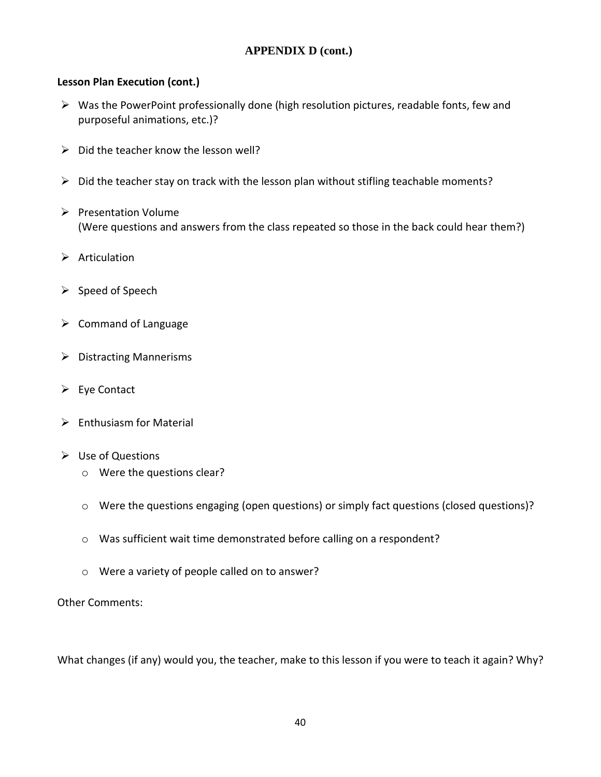## **Lesson Plan Execution (cont.)**

- $\triangleright$  Was the PowerPoint professionally done (high resolution pictures, readable fonts, few and purposeful animations, etc.)?
- $\triangleright$  Did the teacher know the lesson well?
- $\triangleright$  Did the teacher stay on track with the lesson plan without stifling teachable moments?
- $\triangleright$  Presentation Volume (Were questions and answers from the class repeated so those in the back could hear them?)
- $\triangleright$  Articulation
- $\triangleright$  Speed of Speech
- $\triangleright$  Command of Language
- $\triangleright$  Distracting Mannerisms
- $\triangleright$  Eye Contact
- $\triangleright$  Enthusiasm for Material
- Use of Questions
	- o Were the questions clear?
	- o Were the questions engaging (open questions) or simply fact questions (closed questions)?
	- o Was sufficient wait time demonstrated before calling on a respondent?
	- o Were a variety of people called on to answer?

Other Comments:

What changes (if any) would you, the teacher, make to this lesson if you were to teach it again? Why?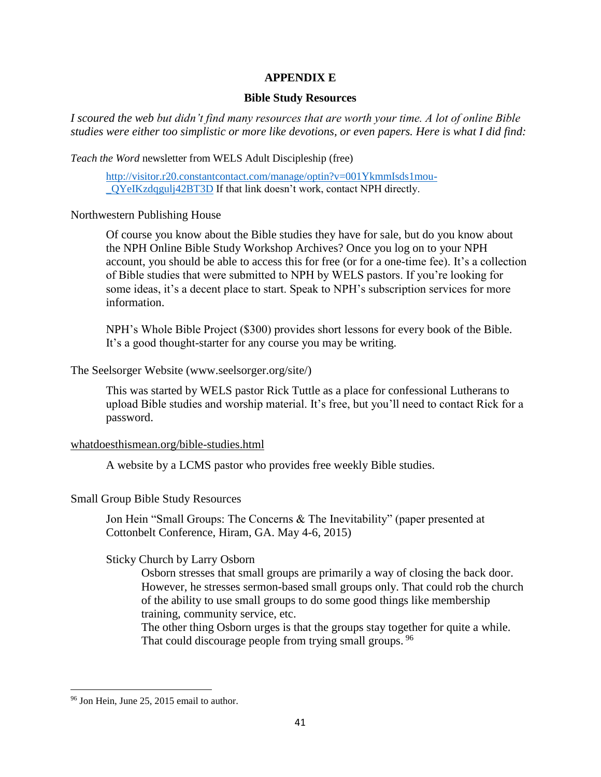## **APPENDIX E**

#### **Bible Study Resources**

*I scoured the web but didn't find many resources that are worth your time. A lot of online Bible studies were either too simplistic or more like devotions, or even papers. Here is what I did find:*

*Teach the Word* newsletter from WELS Adult Discipleship (free)

[http://visitor.r20.constantcontact.com/manage/optin?v=001YkmmIsds1mou-](http://visitor.r20.constantcontact.com/manage/optin?v=001YkmmIsds1mou-_QYeIKzdqgulj42BT3D) [\\_QYeIKzdqgulj42BT3D](http://visitor.r20.constantcontact.com/manage/optin?v=001YkmmIsds1mou-_QYeIKzdqgulj42BT3D) If that link doesn't work, contact NPH directly.

Northwestern Publishing House

Of course you know about the Bible studies they have for sale, but do you know about the NPH Online Bible Study Workshop Archives? Once you log on to your NPH account, you should be able to access this for free (or for a one-time fee). It's a collection of Bible studies that were submitted to NPH by WELS pastors. If you're looking for some ideas, it's a decent place to start. Speak to NPH's subscription services for more information.

NPH's Whole Bible Project (\$300) provides short lessons for every book of the Bible. It's a good thought-starter for any course you may be writing.

#### The Seelsorger Website (www.seelsorger.org/site/)

This was started by WELS pastor Rick Tuttle as a place for confessional Lutherans to upload Bible studies and worship material. It's free, but you'll need to contact Rick for a password.

## [whatdoesthismean.org/bible-studies.html](http://www.whatdoesthismean.org/bible-studies.html)

A website by a LCMS pastor who provides free weekly Bible studies.

## Small Group Bible Study Resources

Jon Hein "Small Groups: The Concerns & The Inevitability" (paper presented at Cottonbelt Conference, Hiram, GA. May 4-6, 2015)

## Sticky Church by Larry Osborn

Osborn stresses that small groups are primarily a way of closing the back door. However, he stresses sermon-based small groups only. That could rob the church of the ability to use small groups to do some good things like membership training, community service, etc.

The other thing Osborn urges is that the groups stay together for quite a while. That could discourage people from trying small groups. <sup>96</sup>

<sup>&</sup>lt;sup>96</sup> Jon Hein, June 25, 2015 email to author.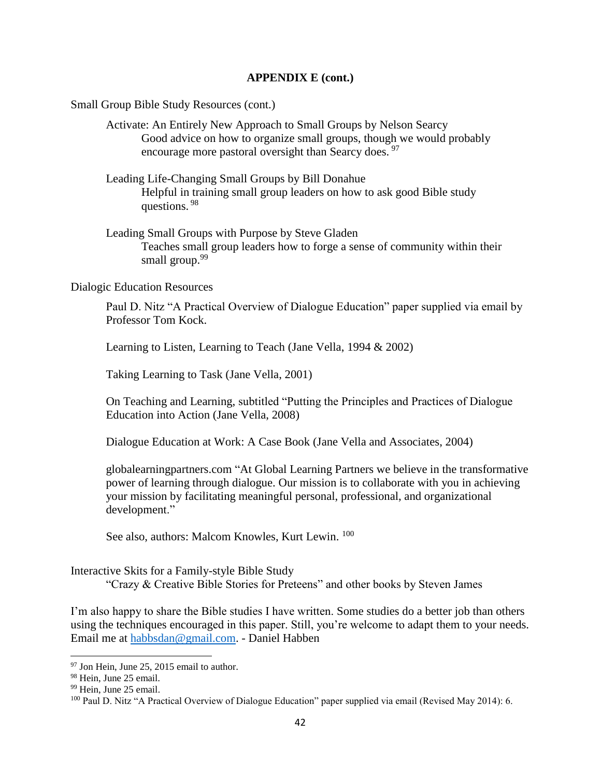Small Group Bible Study Resources (cont.)

Activate: An Entirely New Approach to Small Groups by Nelson Searcy Good advice on how to organize small groups, though we would probably encourage more pastoral oversight than Searcy does. <sup>97</sup>

- Leading Life-Changing Small Groups by Bill Donahue Helpful in training small group leaders on how to ask good Bible study questions. <sup>98</sup>
- Leading Small Groups with Purpose by Steve Gladen Teaches small group leaders how to forge a sense of community within their small group.<sup>99</sup>

#### Dialogic Education Resources

Paul D. Nitz "A Practical Overview of Dialogue Education" paper supplied via email by Professor Tom Kock.

Learning to Listen, Learning to Teach (Jane Vella, 1994 & 2002)

Taking Learning to Task (Jane Vella, 2001)

On Teaching and Learning, subtitled "Putting the Principles and Practices of Dialogue Education into Action (Jane Vella, 2008)

Dialogue Education at Work: A Case Book (Jane Vella and Associates, 2004)

globalearningpartners.com "At Global Learning Partners we believe in the transformative power of learning through dialogue. Our mission is to collaborate with you in achieving your mission by facilitating meaningful personal, professional, and organizational development."

See also, authors: Malcom Knowles, Kurt Lewin. <sup>100</sup>

#### Interactive Skits for a Family-style Bible Study

"Crazy & Creative Bible Stories for Preteens" and other books by Steven James

I'm also happy to share the Bible studies I have written. Some studies do a better job than others using the techniques encouraged in this paper. Still, you're welcome to adapt them to your needs. Email me at [habbsdan@gmail.com.](mailto:habbsdan@gmail.com) - Daniel Habben

 $97$  Jon Hein, June 25, 2015 email to author.

<sup>98</sup> Hein, June 25 email.

<sup>&</sup>lt;sup>99</sup> Hein, June 25 email.

<sup>&</sup>lt;sup>100</sup> Paul D. Nitz "A Practical Overview of Dialogue Education" paper supplied via email (Revised May 2014): 6.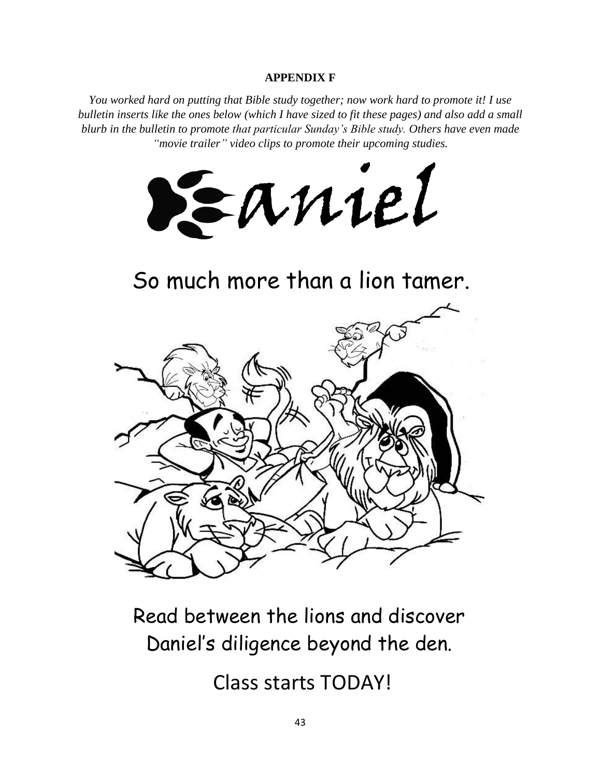## **APPENDIX F**

*You worked hard on putting that Bible study together; now work hard to promote it! I use bulletin inserts like the ones below (which I have sized to fit these pages) and also add a small blurb in the bulletin to promote that particular Sunday's Bible study. Others have even made "movie trailer" video clips to promote their upcoming studies.*



So much more than a lion tamer.



Daniel's diligence beyond the den.

Class starts TODAY!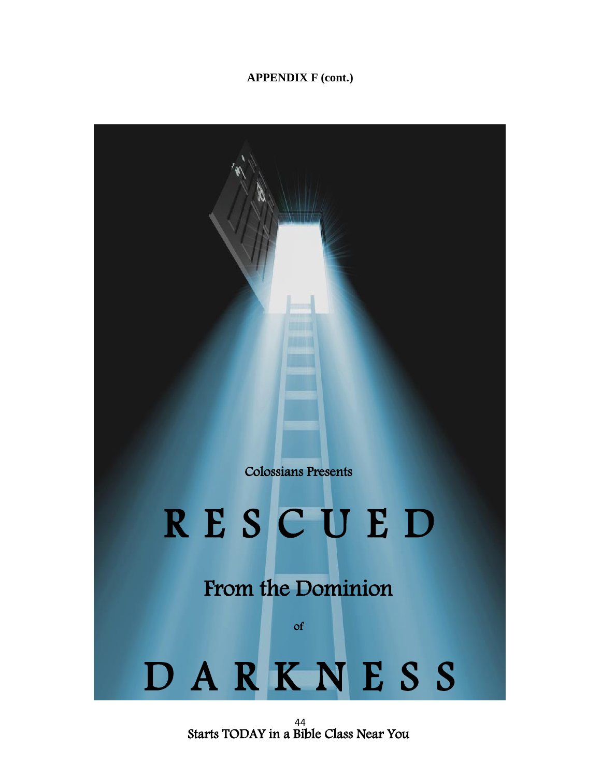

44 Starts TODAY in a Bible Class Near You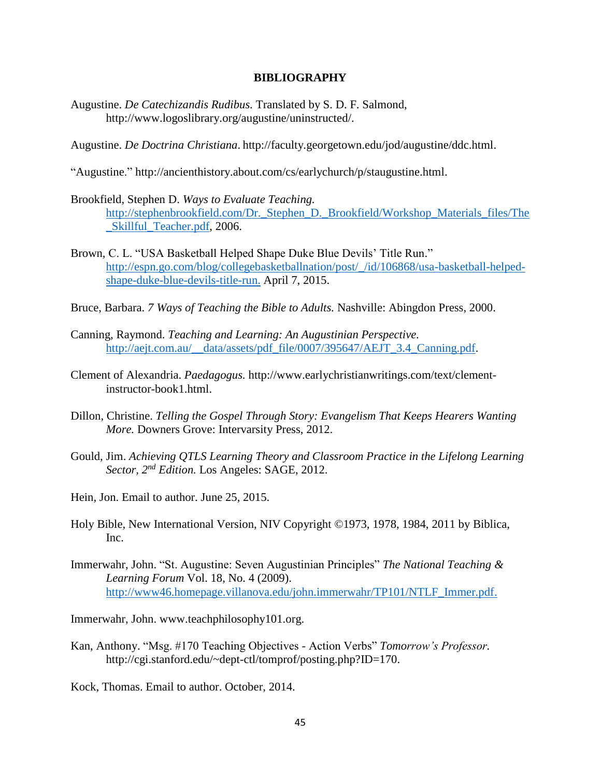#### **BIBLIOGRAPHY**

- Augustine. *De Catechizandis Rudibus.* Translated by S. D. F. Salmond, http://www.logoslibrary.org/augustine/uninstructed/.
- Augustine. *De Doctrina Christiana*. http://faculty.georgetown.edu/jod/augustine/ddc.html.
- "Augustine." http://ancienthistory.about.com/cs/earlychurch/p/staugustine.html.
- Brookfield, Stephen D. *Ways to Evaluate Teaching.* [http://stephenbrookfield.com/Dr.\\_Stephen\\_D.\\_Brookfield/Workshop\\_Materials\\_files/The](http://stephenbrookfield.com/Dr._Stephen_D._Brookfield/Workshop_Materials_files/The_Skillful_Teacher.pdf) [\\_Skillful\\_Teacher.pdf,](http://stephenbrookfield.com/Dr._Stephen_D._Brookfield/Workshop_Materials_files/The_Skillful_Teacher.pdf) 2006.
- Brown, C. L. "USA Basketball Helped Shape Duke Blue Devils' Title Run." [http://espn.go.com/blog/collegebasketballnation/post/\\_/id/106868/usa-basketball-helped](http://espn.go.com/blog/collegebasketballnation/post/_/id/106868/usa-basketball-helped-shape-duke-blue-devils-title-run)[shape-duke-blue-devils-title-run.](http://espn.go.com/blog/collegebasketballnation/post/_/id/106868/usa-basketball-helped-shape-duke-blue-devils-title-run) April 7, 2015.
- Bruce, Barbara. *7 Ways of Teaching the Bible to Adults.* Nashville: Abingdon Press, 2000.
- Canning, Raymond. *Teaching and Learning: An Augustinian Perspective.* [http://aejt.com.au/\\_\\_data/assets/pdf\\_file/0007/395647/AEJT\\_3.4\\_Canning.pdf.](http://aejt.com.au/__data/assets/pdf_file/0007/395647/AEJT_3.4_Canning.pdf)
- Clement of Alexandria. *Paedagogus.* http://www.earlychristianwritings.com/text/clementinstructor-book1.html.
- Dillon, Christine. *Telling the Gospel Through Story: Evangelism That Keeps Hearers Wanting More.* Downers Grove: Intervarsity Press, 2012.
- Gould, Jim. *Achieving QTLS Learning Theory and Classroom Practice in the Lifelong Learning Sector, 2nd Edition.* Los Angeles: SAGE, 2012.
- Hein, Jon. Email to author. June 25, 2015.
- Holy Bible, New International Version, NIV Copyright ©1973, 1978, 1984, 2011 by Biblica, Inc.
- Immerwahr, John. "St. Augustine: Seven Augustinian Principles" *The National Teaching & Learning Forum* Vol. 18, No. 4 (2009). [http://www46.homepage.villanova.edu/john.immerwahr/TP101/NTLF\\_Immer.pdf.](http://www46.homepage.villanova.edu/john.immerwahr/TP101/NTLF_Immer.pdf)

Immerwahr, John. www.teachphilosophy101.org.

Kan, Anthony. "Msg. #170 Teaching Objectives - Action Verbs" *Tomorrow's Professor.* http://cgi.stanford.edu/~dept-ctl/tomprof/posting.php?ID=170.

Kock, Thomas. Email to author. October, 2014.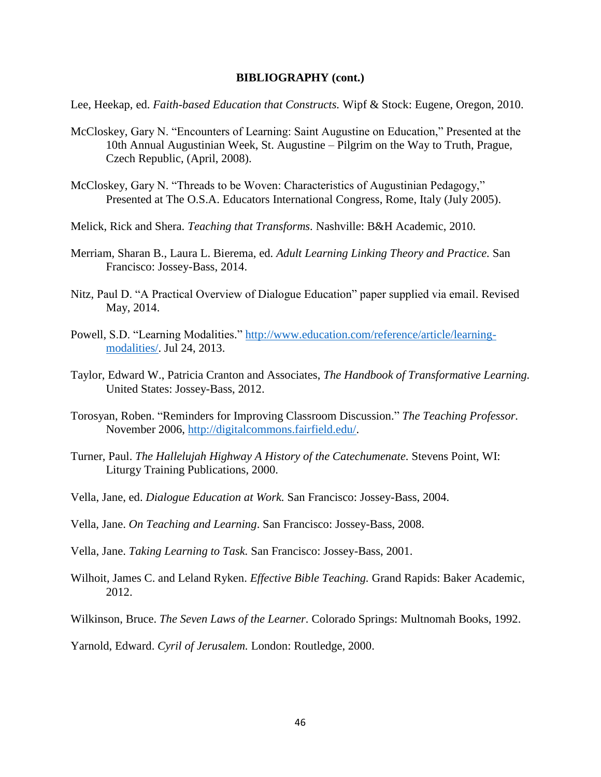#### **BIBLIOGRAPHY (cont.)**

Lee, Heekap, ed. *Faith-based Education that Constructs.* Wipf & Stock: Eugene, Oregon, 2010.

- McCloskey, Gary N. "Encounters of Learning: Saint Augustine on Education," Presented at the 10th Annual Augustinian Week, St. Augustine – Pilgrim on the Way to Truth, Prague, Czech Republic, (April, 2008).
- McCloskey, Gary N. "Threads to be Woven: Characteristics of Augustinian Pedagogy," Presented at The O.S.A. Educators International Congress, Rome, Italy (July 2005).
- Melick, Rick and Shera. *Teaching that Transforms.* Nashville: B&H Academic, 2010.
- Merriam, Sharan B., Laura L. Bierema, ed. *Adult Learning Linking Theory and Practice.* San Francisco: Jossey-Bass, 2014.
- Nitz, Paul D. "A Practical Overview of Dialogue Education" paper supplied via email. Revised May, 2014.
- Powell, S.D. "Learning Modalities." [http://www.education.com/reference/article/learning](http://www.education.com/reference/article/learning-modalities/)[modalities/.](http://www.education.com/reference/article/learning-modalities/) Jul 24, 2013.
- Taylor, Edward W., Patricia Cranton and Associates, *The Handbook of Transformative Learning.*  United States: Jossey-Bass, 2012.
- Torosyan, Roben. "Reminders for Improving Classroom Discussion." *The Teaching Professor.* November 2006, [http://digitalcommons.fairfield.edu/.](http://digitalcommons.fairfield.edu/)
- Turner, Paul. *The Hallelujah Highway A History of the Catechumenate.* Stevens Point, WI: Liturgy Training Publications, 2000.
- Vella, Jane, ed. *Dialogue Education at Work.* San Francisco: Jossey-Bass, 2004.
- Vella, Jane. *On Teaching and Learning*. San Francisco: Jossey-Bass, 2008.
- Vella, Jane. *Taking Learning to Task.* San Francisco: Jossey-Bass, 2001.
- Wilhoit, James C. and Leland Ryken. *Effective Bible Teaching.* Grand Rapids: Baker Academic, 2012.
- Wilkinson, Bruce. *The Seven Laws of the Learner.* Colorado Springs: Multnomah Books, 1992.

Yarnold, Edward. *Cyril of Jerusalem.* London: Routledge, 2000.